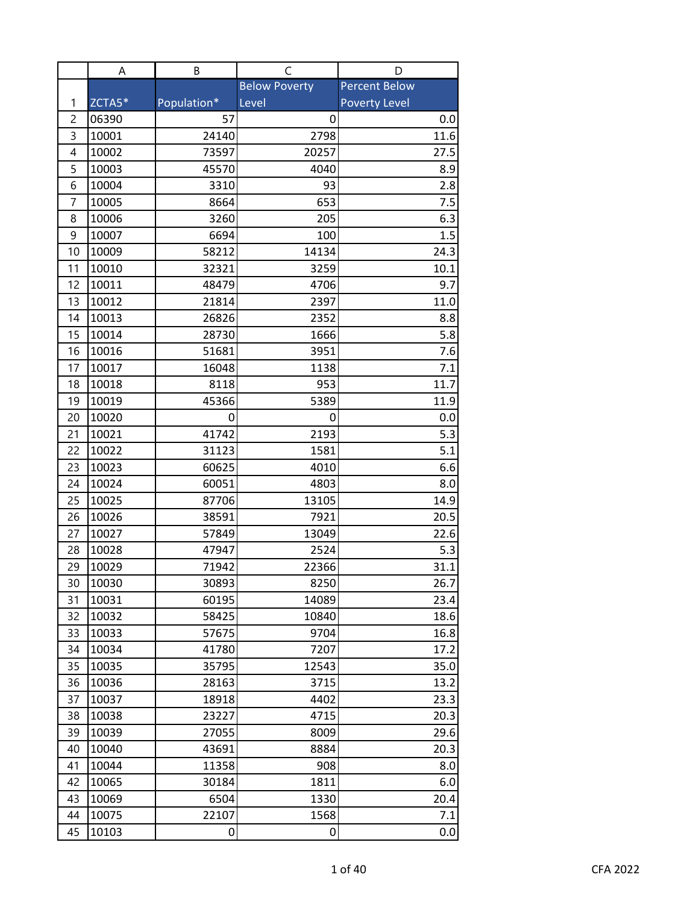| <b>Below Poverty</b><br><b>Percent Below</b><br>ZCTA5*<br>Population*<br><b>Poverty Level</b><br>1<br>Level<br>2<br>06390<br>57<br>0<br>0.0<br>3<br>10001<br>2798<br>24140<br>11.6<br>10002<br>73597<br>4<br>20257<br>27.5<br>5<br>10003<br>45570<br>8.9<br>4040<br>10004<br>2.8<br>6<br>3310<br>93<br>10005<br>8664<br>653<br>7.5<br>7<br>6.3<br>8<br>10006<br>3260<br>205<br>9<br>10007<br>6694<br>100<br>1.5<br>24.3<br>10009<br>58212<br>14134<br>10<br>10010<br>11<br>32321<br>3259<br>10.1<br>12<br>10011<br>48479<br>4706<br>9.7<br>13<br>10012<br>21814<br>2397<br>11.0<br>10013<br>26826<br>2352<br>14<br>8.8<br>1666<br>15<br>10014<br>5.8<br>28730<br>16<br>10016<br>51681<br>3951<br>7.6<br>17<br>10017<br>16048<br>1138<br>7.1<br>8118<br>953<br>18<br>10018<br>11.7<br>19<br>10019<br>45366<br>5389<br>11.9<br>20<br>10020<br>0.0<br>0<br>0<br>21<br>10021<br>41742<br>2193<br>5.3<br>1581<br>5.1<br>22<br>10022<br>31123<br>10023<br>60625<br>6.6<br>23<br>4010<br>10024<br>60051<br>4803<br>8.0<br>24<br>87706<br>25<br>10025<br>13105<br>14.9<br>10026<br>38591<br>26<br>7921<br>20.5<br>27<br>10027<br>57849<br>13049<br>22.6<br>10028<br>47947<br>2524<br>28<br>5.3<br>29<br>10029<br>71942<br>22366<br>31.1<br>30<br>10030<br>8250<br>30893<br>26.7<br>10031<br>31<br>60195<br>14089<br>23.4<br>32<br>10032<br>58425<br>10840<br>18.6<br>10033<br>33<br>57675<br>9704<br>16.8<br>10034<br>7207<br>17.2<br>34<br>41780<br>35<br>12543<br>10035<br>35795<br>35.0<br>36<br>10036<br>28163<br>3715<br>13.2<br>37<br>10037<br>18918<br>4402<br>23.3<br>10038<br>23227<br>38<br>4715<br>20.3<br>39<br>29.6<br>10039<br>27055<br>8009<br>40<br>10040<br>43691<br>8884<br>20.3<br>11358<br>10044<br>41<br>908<br>8.0<br>10065<br>30184<br>1811<br>6.0<br>42<br>43<br>10069<br>6504<br>1330<br>20.4<br>44<br>1568<br>10075<br>22107<br>7.1 |    | А     | B | C | D   |
|-------------------------------------------------------------------------------------------------------------------------------------------------------------------------------------------------------------------------------------------------------------------------------------------------------------------------------------------------------------------------------------------------------------------------------------------------------------------------------------------------------------------------------------------------------------------------------------------------------------------------------------------------------------------------------------------------------------------------------------------------------------------------------------------------------------------------------------------------------------------------------------------------------------------------------------------------------------------------------------------------------------------------------------------------------------------------------------------------------------------------------------------------------------------------------------------------------------------------------------------------------------------------------------------------------------------------------------------------------------------------------------------------------------------------------------------------------------------------------------------------------------------------------------------------------------------------------------------------------------------------------------------------------------------------------------------------------------------------------------------------------------------------------------------------------------------------------------------------------|----|-------|---|---|-----|
|                                                                                                                                                                                                                                                                                                                                                                                                                                                                                                                                                                                                                                                                                                                                                                                                                                                                                                                                                                                                                                                                                                                                                                                                                                                                                                                                                                                                                                                                                                                                                                                                                                                                                                                                                                                                                                                       |    |       |   |   |     |
|                                                                                                                                                                                                                                                                                                                                                                                                                                                                                                                                                                                                                                                                                                                                                                                                                                                                                                                                                                                                                                                                                                                                                                                                                                                                                                                                                                                                                                                                                                                                                                                                                                                                                                                                                                                                                                                       |    |       |   |   |     |
|                                                                                                                                                                                                                                                                                                                                                                                                                                                                                                                                                                                                                                                                                                                                                                                                                                                                                                                                                                                                                                                                                                                                                                                                                                                                                                                                                                                                                                                                                                                                                                                                                                                                                                                                                                                                                                                       |    |       |   |   |     |
|                                                                                                                                                                                                                                                                                                                                                                                                                                                                                                                                                                                                                                                                                                                                                                                                                                                                                                                                                                                                                                                                                                                                                                                                                                                                                                                                                                                                                                                                                                                                                                                                                                                                                                                                                                                                                                                       |    |       |   |   |     |
|                                                                                                                                                                                                                                                                                                                                                                                                                                                                                                                                                                                                                                                                                                                                                                                                                                                                                                                                                                                                                                                                                                                                                                                                                                                                                                                                                                                                                                                                                                                                                                                                                                                                                                                                                                                                                                                       |    |       |   |   |     |
|                                                                                                                                                                                                                                                                                                                                                                                                                                                                                                                                                                                                                                                                                                                                                                                                                                                                                                                                                                                                                                                                                                                                                                                                                                                                                                                                                                                                                                                                                                                                                                                                                                                                                                                                                                                                                                                       |    |       |   |   |     |
|                                                                                                                                                                                                                                                                                                                                                                                                                                                                                                                                                                                                                                                                                                                                                                                                                                                                                                                                                                                                                                                                                                                                                                                                                                                                                                                                                                                                                                                                                                                                                                                                                                                                                                                                                                                                                                                       |    |       |   |   |     |
|                                                                                                                                                                                                                                                                                                                                                                                                                                                                                                                                                                                                                                                                                                                                                                                                                                                                                                                                                                                                                                                                                                                                                                                                                                                                                                                                                                                                                                                                                                                                                                                                                                                                                                                                                                                                                                                       |    |       |   |   |     |
|                                                                                                                                                                                                                                                                                                                                                                                                                                                                                                                                                                                                                                                                                                                                                                                                                                                                                                                                                                                                                                                                                                                                                                                                                                                                                                                                                                                                                                                                                                                                                                                                                                                                                                                                                                                                                                                       |    |       |   |   |     |
|                                                                                                                                                                                                                                                                                                                                                                                                                                                                                                                                                                                                                                                                                                                                                                                                                                                                                                                                                                                                                                                                                                                                                                                                                                                                                                                                                                                                                                                                                                                                                                                                                                                                                                                                                                                                                                                       |    |       |   |   |     |
|                                                                                                                                                                                                                                                                                                                                                                                                                                                                                                                                                                                                                                                                                                                                                                                                                                                                                                                                                                                                                                                                                                                                                                                                                                                                                                                                                                                                                                                                                                                                                                                                                                                                                                                                                                                                                                                       |    |       |   |   |     |
|                                                                                                                                                                                                                                                                                                                                                                                                                                                                                                                                                                                                                                                                                                                                                                                                                                                                                                                                                                                                                                                                                                                                                                                                                                                                                                                                                                                                                                                                                                                                                                                                                                                                                                                                                                                                                                                       |    |       |   |   |     |
|                                                                                                                                                                                                                                                                                                                                                                                                                                                                                                                                                                                                                                                                                                                                                                                                                                                                                                                                                                                                                                                                                                                                                                                                                                                                                                                                                                                                                                                                                                                                                                                                                                                                                                                                                                                                                                                       |    |       |   |   |     |
|                                                                                                                                                                                                                                                                                                                                                                                                                                                                                                                                                                                                                                                                                                                                                                                                                                                                                                                                                                                                                                                                                                                                                                                                                                                                                                                                                                                                                                                                                                                                                                                                                                                                                                                                                                                                                                                       |    |       |   |   |     |
|                                                                                                                                                                                                                                                                                                                                                                                                                                                                                                                                                                                                                                                                                                                                                                                                                                                                                                                                                                                                                                                                                                                                                                                                                                                                                                                                                                                                                                                                                                                                                                                                                                                                                                                                                                                                                                                       |    |       |   |   |     |
|                                                                                                                                                                                                                                                                                                                                                                                                                                                                                                                                                                                                                                                                                                                                                                                                                                                                                                                                                                                                                                                                                                                                                                                                                                                                                                                                                                                                                                                                                                                                                                                                                                                                                                                                                                                                                                                       |    |       |   |   |     |
|                                                                                                                                                                                                                                                                                                                                                                                                                                                                                                                                                                                                                                                                                                                                                                                                                                                                                                                                                                                                                                                                                                                                                                                                                                                                                                                                                                                                                                                                                                                                                                                                                                                                                                                                                                                                                                                       |    |       |   |   |     |
|                                                                                                                                                                                                                                                                                                                                                                                                                                                                                                                                                                                                                                                                                                                                                                                                                                                                                                                                                                                                                                                                                                                                                                                                                                                                                                                                                                                                                                                                                                                                                                                                                                                                                                                                                                                                                                                       |    |       |   |   |     |
|                                                                                                                                                                                                                                                                                                                                                                                                                                                                                                                                                                                                                                                                                                                                                                                                                                                                                                                                                                                                                                                                                                                                                                                                                                                                                                                                                                                                                                                                                                                                                                                                                                                                                                                                                                                                                                                       |    |       |   |   |     |
|                                                                                                                                                                                                                                                                                                                                                                                                                                                                                                                                                                                                                                                                                                                                                                                                                                                                                                                                                                                                                                                                                                                                                                                                                                                                                                                                                                                                                                                                                                                                                                                                                                                                                                                                                                                                                                                       |    |       |   |   |     |
|                                                                                                                                                                                                                                                                                                                                                                                                                                                                                                                                                                                                                                                                                                                                                                                                                                                                                                                                                                                                                                                                                                                                                                                                                                                                                                                                                                                                                                                                                                                                                                                                                                                                                                                                                                                                                                                       |    |       |   |   |     |
|                                                                                                                                                                                                                                                                                                                                                                                                                                                                                                                                                                                                                                                                                                                                                                                                                                                                                                                                                                                                                                                                                                                                                                                                                                                                                                                                                                                                                                                                                                                                                                                                                                                                                                                                                                                                                                                       |    |       |   |   |     |
|                                                                                                                                                                                                                                                                                                                                                                                                                                                                                                                                                                                                                                                                                                                                                                                                                                                                                                                                                                                                                                                                                                                                                                                                                                                                                                                                                                                                                                                                                                                                                                                                                                                                                                                                                                                                                                                       |    |       |   |   |     |
|                                                                                                                                                                                                                                                                                                                                                                                                                                                                                                                                                                                                                                                                                                                                                                                                                                                                                                                                                                                                                                                                                                                                                                                                                                                                                                                                                                                                                                                                                                                                                                                                                                                                                                                                                                                                                                                       |    |       |   |   |     |
|                                                                                                                                                                                                                                                                                                                                                                                                                                                                                                                                                                                                                                                                                                                                                                                                                                                                                                                                                                                                                                                                                                                                                                                                                                                                                                                                                                                                                                                                                                                                                                                                                                                                                                                                                                                                                                                       |    |       |   |   |     |
|                                                                                                                                                                                                                                                                                                                                                                                                                                                                                                                                                                                                                                                                                                                                                                                                                                                                                                                                                                                                                                                                                                                                                                                                                                                                                                                                                                                                                                                                                                                                                                                                                                                                                                                                                                                                                                                       |    |       |   |   |     |
|                                                                                                                                                                                                                                                                                                                                                                                                                                                                                                                                                                                                                                                                                                                                                                                                                                                                                                                                                                                                                                                                                                                                                                                                                                                                                                                                                                                                                                                                                                                                                                                                                                                                                                                                                                                                                                                       |    |       |   |   |     |
|                                                                                                                                                                                                                                                                                                                                                                                                                                                                                                                                                                                                                                                                                                                                                                                                                                                                                                                                                                                                                                                                                                                                                                                                                                                                                                                                                                                                                                                                                                                                                                                                                                                                                                                                                                                                                                                       |    |       |   |   |     |
|                                                                                                                                                                                                                                                                                                                                                                                                                                                                                                                                                                                                                                                                                                                                                                                                                                                                                                                                                                                                                                                                                                                                                                                                                                                                                                                                                                                                                                                                                                                                                                                                                                                                                                                                                                                                                                                       |    |       |   |   |     |
|                                                                                                                                                                                                                                                                                                                                                                                                                                                                                                                                                                                                                                                                                                                                                                                                                                                                                                                                                                                                                                                                                                                                                                                                                                                                                                                                                                                                                                                                                                                                                                                                                                                                                                                                                                                                                                                       |    |       |   |   |     |
|                                                                                                                                                                                                                                                                                                                                                                                                                                                                                                                                                                                                                                                                                                                                                                                                                                                                                                                                                                                                                                                                                                                                                                                                                                                                                                                                                                                                                                                                                                                                                                                                                                                                                                                                                                                                                                                       |    |       |   |   |     |
|                                                                                                                                                                                                                                                                                                                                                                                                                                                                                                                                                                                                                                                                                                                                                                                                                                                                                                                                                                                                                                                                                                                                                                                                                                                                                                                                                                                                                                                                                                                                                                                                                                                                                                                                                                                                                                                       |    |       |   |   |     |
|                                                                                                                                                                                                                                                                                                                                                                                                                                                                                                                                                                                                                                                                                                                                                                                                                                                                                                                                                                                                                                                                                                                                                                                                                                                                                                                                                                                                                                                                                                                                                                                                                                                                                                                                                                                                                                                       |    |       |   |   |     |
|                                                                                                                                                                                                                                                                                                                                                                                                                                                                                                                                                                                                                                                                                                                                                                                                                                                                                                                                                                                                                                                                                                                                                                                                                                                                                                                                                                                                                                                                                                                                                                                                                                                                                                                                                                                                                                                       |    |       |   |   |     |
|                                                                                                                                                                                                                                                                                                                                                                                                                                                                                                                                                                                                                                                                                                                                                                                                                                                                                                                                                                                                                                                                                                                                                                                                                                                                                                                                                                                                                                                                                                                                                                                                                                                                                                                                                                                                                                                       |    |       |   |   |     |
|                                                                                                                                                                                                                                                                                                                                                                                                                                                                                                                                                                                                                                                                                                                                                                                                                                                                                                                                                                                                                                                                                                                                                                                                                                                                                                                                                                                                                                                                                                                                                                                                                                                                                                                                                                                                                                                       |    |       |   |   |     |
|                                                                                                                                                                                                                                                                                                                                                                                                                                                                                                                                                                                                                                                                                                                                                                                                                                                                                                                                                                                                                                                                                                                                                                                                                                                                                                                                                                                                                                                                                                                                                                                                                                                                                                                                                                                                                                                       |    |       |   |   |     |
|                                                                                                                                                                                                                                                                                                                                                                                                                                                                                                                                                                                                                                                                                                                                                                                                                                                                                                                                                                                                                                                                                                                                                                                                                                                                                                                                                                                                                                                                                                                                                                                                                                                                                                                                                                                                                                                       |    |       |   |   |     |
|                                                                                                                                                                                                                                                                                                                                                                                                                                                                                                                                                                                                                                                                                                                                                                                                                                                                                                                                                                                                                                                                                                                                                                                                                                                                                                                                                                                                                                                                                                                                                                                                                                                                                                                                                                                                                                                       |    |       |   |   |     |
|                                                                                                                                                                                                                                                                                                                                                                                                                                                                                                                                                                                                                                                                                                                                                                                                                                                                                                                                                                                                                                                                                                                                                                                                                                                                                                                                                                                                                                                                                                                                                                                                                                                                                                                                                                                                                                                       |    |       |   |   |     |
|                                                                                                                                                                                                                                                                                                                                                                                                                                                                                                                                                                                                                                                                                                                                                                                                                                                                                                                                                                                                                                                                                                                                                                                                                                                                                                                                                                                                                                                                                                                                                                                                                                                                                                                                                                                                                                                       |    |       |   |   |     |
|                                                                                                                                                                                                                                                                                                                                                                                                                                                                                                                                                                                                                                                                                                                                                                                                                                                                                                                                                                                                                                                                                                                                                                                                                                                                                                                                                                                                                                                                                                                                                                                                                                                                                                                                                                                                                                                       |    |       |   |   |     |
|                                                                                                                                                                                                                                                                                                                                                                                                                                                                                                                                                                                                                                                                                                                                                                                                                                                                                                                                                                                                                                                                                                                                                                                                                                                                                                                                                                                                                                                                                                                                                                                                                                                                                                                                                                                                                                                       |    |       |   |   |     |
|                                                                                                                                                                                                                                                                                                                                                                                                                                                                                                                                                                                                                                                                                                                                                                                                                                                                                                                                                                                                                                                                                                                                                                                                                                                                                                                                                                                                                                                                                                                                                                                                                                                                                                                                                                                                                                                       |    |       |   |   |     |
|                                                                                                                                                                                                                                                                                                                                                                                                                                                                                                                                                                                                                                                                                                                                                                                                                                                                                                                                                                                                                                                                                                                                                                                                                                                                                                                                                                                                                                                                                                                                                                                                                                                                                                                                                                                                                                                       | 45 | 10103 | 0 | 0 | 0.0 |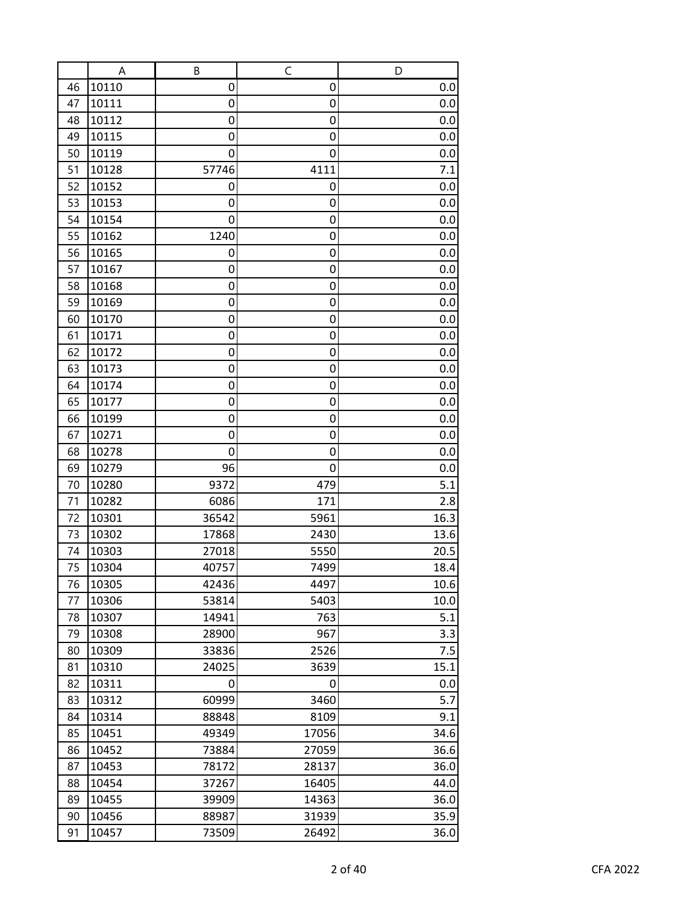|          | A              | B              | C            | D            |
|----------|----------------|----------------|--------------|--------------|
| 46       | 10110          | 0              | 0            | 0.0          |
| 47       | 10111          | 0              | 0            | 0.0          |
| 48       | 10112          | 0              | 0            | 0.0          |
| 49       | 10115          | 0              | 0            | 0.0          |
| 50       | 10119          | 0              | 0            | 0.0          |
| 51       | 10128          | 57746          | 4111         | 7.1          |
| 52       | 10152          | 0              | 0            | 0.0          |
| 53       | 10153          | 0              | 0            | 0.0          |
| 54       | 10154          | 0              | 0            | 0.0          |
| 55       | 10162          | 1240           | 0            | 0.0          |
| 56       | 10165          | 0              | 0            | 0.0          |
| 57       | 10167          | 0              | 0            | 0.0          |
| 58       | 10168          | 0              | 0            | 0.0          |
| 59       | 10169          | 0              | 0            | 0.0          |
| 60       | 10170          | 0              | 0            | 0.0          |
| 61       | 10171          | 0              | 0            | 0.0          |
| 62       | 10172          | 0              | 0            | 0.0          |
| 63       | 10173          | 0              | 0            | 0.0          |
| 64       | 10174          | 0              | 0            | 0.0          |
| 65       | 10177          | 0              | 0            | 0.0          |
| 66       | 10199          | 0              | 0            | 0.0          |
| 67       | 10271          | 0              | 0            | 0.0          |
| 68       | 10278          | 0              | 0            | 0.0          |
| 69       | 10279          | 96             | 0            | 0.0          |
| 70       | 10280          | 9372           | 479          | 5.1          |
| 71       | 10282          | 6086           | 171          | 2.8          |
| 72       | 10301          | 36542          | 5961         | 16.3         |
| 73       | 10302          | 17868          | 2430         | 13.6         |
| 74       | 10303          | 27018          | 5550         | 20.5         |
| 75       | 10304          | 40757          | 7499         | 18.4         |
| 76<br>77 | 10305<br>10306 | 42436<br>53814 | 4497<br>5403 | 10.6<br>10.0 |
| 78       | 10307          | 14941          | 763          | 5.1          |
| 79       | 10308          | 28900          | 967          | 3.3          |
| 80       | 10309          | 33836          | 2526         | 7.5          |
| 81       | 10310          | 24025          | 3639         | 15.1         |
| 82       | 10311          | 0              | 0            | 0.0          |
| 83       | 10312          | 60999          | 3460         | 5.7          |
| 84       | 10314          | 88848          | 8109         | 9.1          |
| 85       | 10451          | 49349          | 17056        | 34.6         |
| 86       | 10452          | 73884          | 27059        | 36.6         |
| 87       | 10453          | 78172          | 28137        | 36.0         |
| 88       | 10454          | 37267          | 16405        | 44.0         |
| 89       | 10455          | 39909          | 14363        | 36.0         |
| 90       | 10456          | 88987          | 31939        | 35.9         |
| 91       | 10457          | 73509          | 26492        | 36.0         |
|          |                |                |              |              |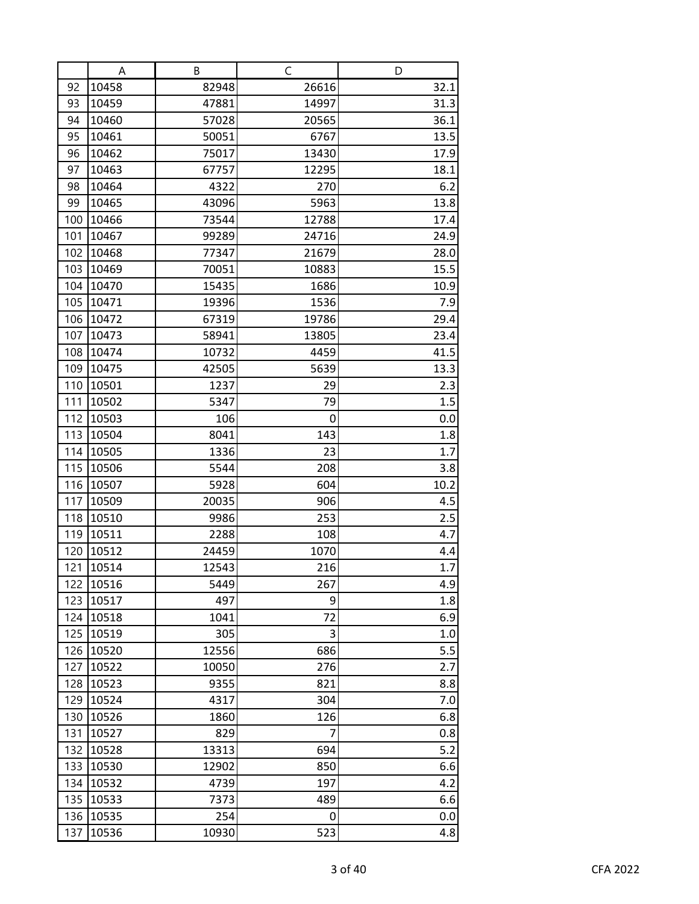|            | A              | B            | C         | D          |
|------------|----------------|--------------|-----------|------------|
| 92         | 10458          | 82948        | 26616     | 32.1       |
| 93         | 10459          | 47881        | 14997     | 31.3       |
| 94         | 10460          | 57028        | 20565     | 36.1       |
| 95         | 10461          | 50051        | 6767      | 13.5       |
| 96         | 10462          | 75017        | 13430     | 17.9       |
| 97         | 10463          | 67757        | 12295     | 18.1       |
| 98         | 10464          | 4322         | 270       | 6.2        |
| 99         | 10465          | 43096        | 5963      | 13.8       |
| 100        | 10466          | 73544        | 12788     | 17.4       |
| 101        | 10467          | 99289        | 24716     | 24.9       |
| 102        | 10468          | 77347        | 21679     | 28.0       |
| 103        | 10469          | 70051        | 10883     | 15.5       |
| 104        | 10470          | 15435        | 1686      | 10.9       |
| 105        | 10471          | 19396        | 1536      | 7.9        |
| 106        | 10472          | 67319        | 19786     | 29.4       |
| 107        | 10473          | 58941        | 13805     | 23.4       |
| 108        | 10474          | 10732        | 4459      | 41.5       |
| 109        | 10475          | 42505        | 5639      | 13.3       |
| 110        | 10501          | 1237         | 29        | 2.3        |
| 111        | 10502          | 5347         | 79        | 1.5        |
| 112        | 10503          | 106          | 0         | 0.0        |
| 113<br>114 | 10504<br>10505 | 8041<br>1336 | 143<br>23 | 1.8<br>1.7 |
| 115        | 10506          | 5544         | 208       | 3.8        |
| 116        | 10507          | 5928         | 604       | 10.2       |
| 117        | 10509          | 20035        | 906       | 4.5        |
| 118        | 10510          | 9986         | 253       | 2.5        |
| 119        | 10511          | 2288         | 108       | 4.7        |
| 120        | 10512          | 24459        | 1070      | 4.4        |
| 121        | 10514          | 12543        | 216       | 1.7        |
| 122        | 10516          | 5449         | 267       | 4.9        |
| 123        | 10517          | 497          | 9         | 1.8        |
| 124        | 10518          | 1041         | 72        | 6.9        |
| 125        | 10519          | 305          | 3         | 1.0        |
| 126        | 10520          | 12556        | 686       | 5.5        |
| 127        | 10522          | 10050        | 276       | 2.7        |
| 128        | 10523          | 9355         | 821       | 8.8        |
| 129        | 10524          | 4317         | 304       | 7.0        |
| 130        | 10526          | 1860         | 126       | 6.8        |
| 131        | 10527          | 829          | 7         | 0.8        |
| 132        | 10528          | 13313        | 694       | 5.2        |
| 133        | 10530          | 12902        | 850       | 6.6        |
| 134        | 10532          | 4739         | 197       | 4.2        |
| 135        | 10533          | 7373         | 489       | 6.6        |
| 136        | 10535          | 254          | 0         | 0.0        |
| 137        | 10536          | 10930        | 523       | 4.8        |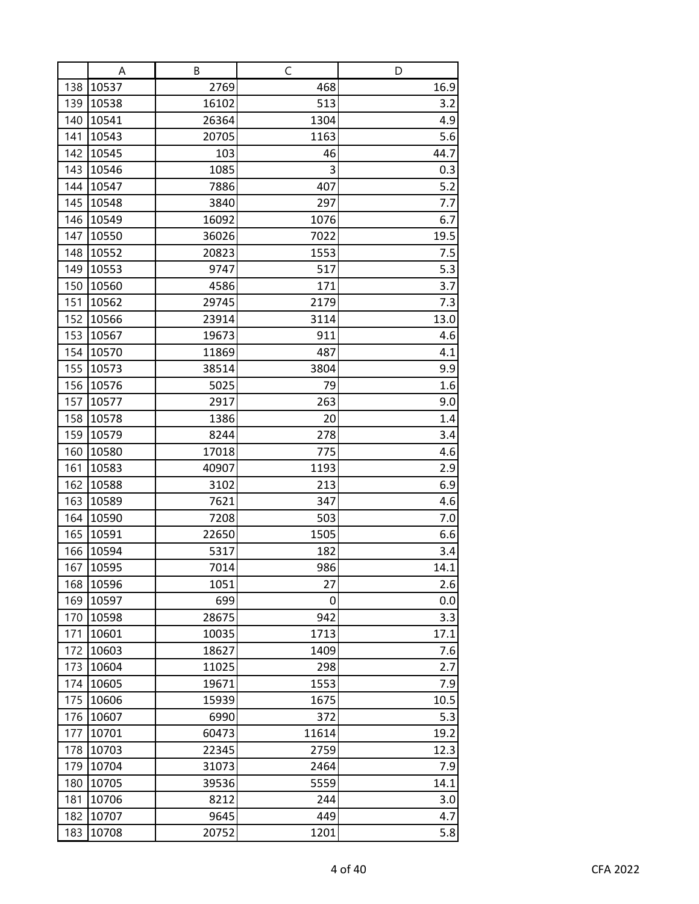|            | A              | В              | C           | D          |
|------------|----------------|----------------|-------------|------------|
| 138        | 10537          | 2769           | 468         | 16.9       |
| 139        | 10538          | 16102          | 513         | 3.2        |
| 140        | 10541          | 26364          | 1304        | 4.9        |
| 141        | 10543          | 20705          | 1163        | 5.6        |
| 142        | 10545          | 103            | 46          | 44.7       |
| 143        | 10546          | 1085           | 3           | 0.3        |
| 144        | 10547          | 7886           | 407         | 5.2        |
| 145        | 10548          | 3840           | 297         | 7.7        |
| 146        | 10549          | 16092          | 1076        | 6.7        |
| 147        | 10550          | 36026          | 7022        | 19.5       |
| 148        | 10552          | 20823          | 1553        | 7.5        |
| 149        | 10553          | 9747           | 517         | 5.3        |
| 150        | 10560          | 4586           | 171         | 3.7        |
| 151        | 10562          | 29745          | 2179        | 7.3        |
| 152        | 10566          | 23914          | 3114        | 13.0       |
| 153        | 10567          | 19673          | 911         | 4.6        |
| 154        | 10570          | 11869          | 487         | 4.1        |
| 155        | 10573          | 38514          | 3804        | 9.9        |
| 156        | 10576          | 5025           | 79          | 1.6        |
| 157        | 10577          | 2917           | 263         | 9.0        |
| 158        | 10578          | 1386           | 20          | 1.4        |
| 159        | 10579          | 8244           | 278         | 3.4        |
| 160<br>161 | 10580<br>10583 | 17018<br>40907 | 775<br>1193 | 4.6<br>2.9 |
| 162        | 10588          | 3102           | 213         | 6.9        |
| 163        | 10589          | 7621           | 347         | 4.6        |
| 164        | 10590          | 7208           | 503         | 7.0        |
| 165        | 10591          | 22650          | 1505        | 6.6        |
| 166        | 10594          | 5317           | 182         | 3.4        |
| 167        | 10595          | 7014           | 986         | 14.1       |
| 168        | 10596          | 1051           | 27          | 2.6        |
| 169        | 10597          | 699            | 0           | 0.0        |
| 170        | 10598          | 28675          | 942         | 3.3        |
| 171        | 10601          | 10035          | 1713        | 17.1       |
| 172        | 10603          | 18627          | 1409        | 7.6        |
| 173        | 10604          | 11025          | 298         | 2.7        |
| 174        | 10605          | 19671          | 1553        | 7.9        |
| 175        | 10606          | 15939          | 1675        | 10.5       |
| 176        | 10607          | 6990           | 372         | 5.3        |
| 177        | 10701          | 60473          | 11614       | 19.2       |
| 178        | 10703          | 22345          | 2759        | 12.3       |
| 179        | 10704          | 31073          | 2464        | 7.9        |
| 180        | 10705          | 39536          | 5559        | 14.1       |
| 181        | 10706          | 8212           | 244         | 3.0        |
| 182        | 10707          | 9645           | 449         | 4.7        |
| 183        | 10708          | 20752          | 1201        | 5.8        |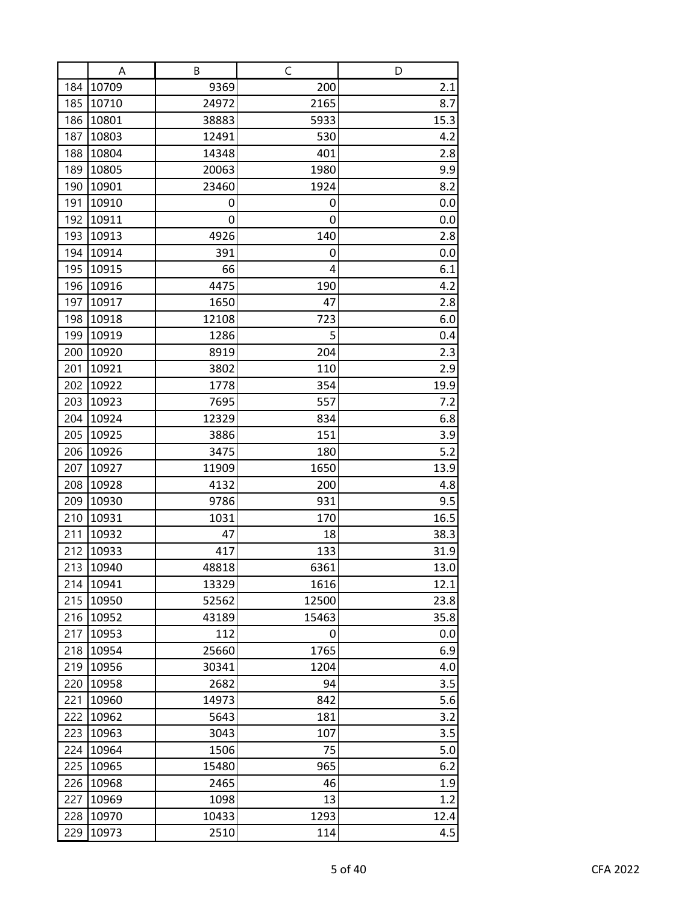|     | A     | В     | C     | D       |
|-----|-------|-------|-------|---------|
| 184 | 10709 | 9369  | 200   | 2.1     |
| 185 | 10710 | 24972 | 2165  | 8.7     |
| 186 | 10801 | 38883 | 5933  | 15.3    |
| 187 | 10803 | 12491 | 530   | 4.2     |
| 188 | 10804 | 14348 | 401   | 2.8     |
| 189 | 10805 | 20063 | 1980  | 9.9     |
| 190 | 10901 | 23460 | 1924  | 8.2     |
| 191 | 10910 | 0     | 0     | 0.0     |
| 192 | 10911 | 0     | 0     | 0.0     |
| 193 | 10913 | 4926  | 140   | 2.8     |
| 194 | 10914 | 391   | 0     | 0.0     |
| 195 | 10915 | 66    | 4     | 6.1     |
| 196 | 10916 | 4475  | 190   | 4.2     |
| 197 | 10917 | 1650  | 47    | 2.8     |
| 198 | 10918 | 12108 | 723   | 6.0     |
| 199 | 10919 | 1286  | 5     | 0.4     |
| 200 | 10920 | 8919  | 204   | 2.3     |
| 201 | 10921 | 3802  | 110   | 2.9     |
| 202 | 10922 | 1778  | 354   | 19.9    |
| 203 | 10923 | 7695  | 557   | 7.2     |
| 204 | 10924 | 12329 | 834   | 6.8     |
| 205 | 10925 | 3886  | 151   | 3.9     |
| 206 | 10926 | 3475  | 180   | 5.2     |
| 207 | 10927 | 11909 | 1650  | 13.9    |
| 208 | 10928 | 4132  | 200   | 4.8     |
| 209 | 10930 | 9786  | 931   | 9.5     |
| 210 | 10931 | 1031  | 170   | 16.5    |
| 211 | 10932 | 47    | 18    | 38.3    |
| 212 | 10933 | 417   | 133   | 31.9    |
| 213 | 10940 | 48818 | 6361  | 13.0    |
| 214 | 10941 | 13329 | 1616  | 12.1    |
| 215 | 10950 | 52562 | 12500 | 23.8    |
| 216 | 10952 | 43189 | 15463 | 35.8    |
| 217 | 10953 | 112   | 0     | 0.0     |
| 218 | 10954 | 25660 | 1765  | 6.9     |
| 219 | 10956 | 30341 | 1204  | 4.0     |
| 220 | 10958 | 2682  | 94    | 3.5     |
| 221 | 10960 | 14973 | 842   | 5.6     |
| 222 | 10962 | 5643  | 181   | 3.2     |
| 223 | 10963 | 3043  | 107   | 3.5     |
| 224 | 10964 | 1506  | 75    | $5.0\,$ |
| 225 | 10965 | 15480 | 965   | 6.2     |
| 226 | 10968 | 2465  | 46    | 1.9     |
| 227 | 10969 | 1098  | 13    | 1.2     |
| 228 | 10970 | 10433 | 1293  | 12.4    |
| 229 | 10973 | 2510  | 114   | 4.5     |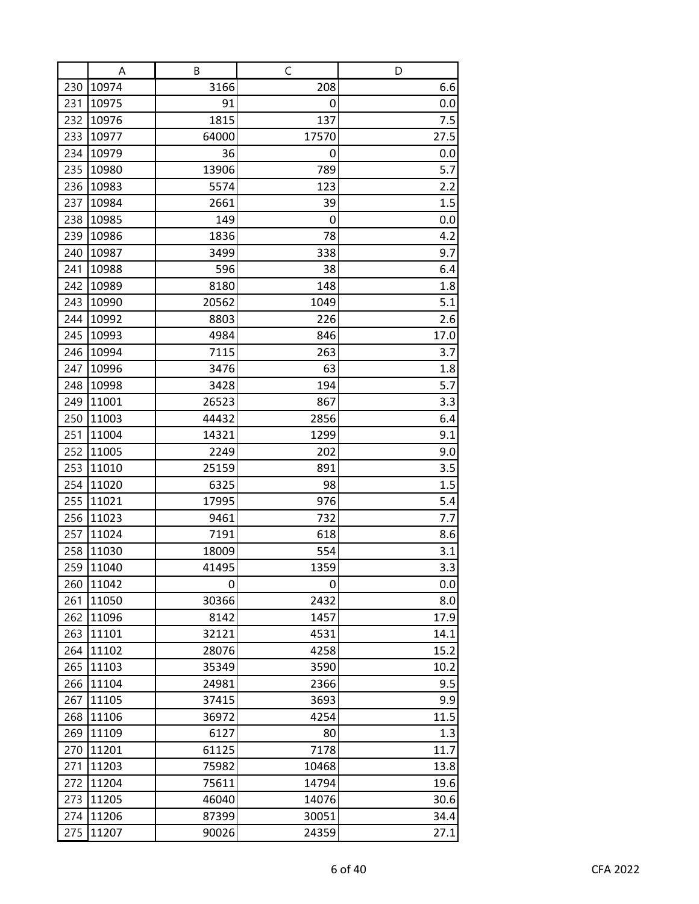|     | A     | В     | C     | D    |
|-----|-------|-------|-------|------|
| 230 | 10974 | 3166  | 208   | 6.6  |
| 231 | 10975 | 91    | 0     | 0.0  |
| 232 | 10976 | 1815  | 137   | 7.5  |
| 233 | 10977 | 64000 | 17570 | 27.5 |
| 234 | 10979 | 36    | 0     | 0.0  |
| 235 | 10980 | 13906 | 789   | 5.7  |
| 236 | 10983 | 5574  | 123   | 2.2  |
| 237 | 10984 | 2661  | 39    | 1.5  |
| 238 | 10985 | 149   | 0     | 0.0  |
| 239 | 10986 | 1836  | 78    | 4.2  |
| 240 | 10987 | 3499  | 338   | 9.7  |
| 241 | 10988 | 596   | 38    | 6.4  |
| 242 | 10989 | 8180  | 148   | 1.8  |
| 243 | 10990 | 20562 | 1049  | 5.1  |
| 244 | 10992 | 8803  | 226   | 2.6  |
| 245 | 10993 | 4984  | 846   | 17.0 |
| 246 | 10994 | 7115  | 263   | 3.7  |
| 247 | 10996 | 3476  | 63    | 1.8  |
| 248 | 10998 | 3428  | 194   | 5.7  |
| 249 | 11001 | 26523 | 867   | 3.3  |
| 250 | 11003 | 44432 | 2856  | 6.4  |
| 251 | 11004 | 14321 | 1299  | 9.1  |
| 252 | 11005 | 2249  | 202   | 9.0  |
| 253 | 11010 | 25159 | 891   | 3.5  |
| 254 | 11020 | 6325  | 98    | 1.5  |
| 255 | 11021 | 17995 | 976   | 5.4  |
| 256 | 11023 | 9461  | 732   | 7.7  |
| 257 | 11024 | 7191  | 618   | 8.6  |
| 258 | 11030 | 18009 | 554   | 3.1  |
| 259 | 11040 | 41495 | 1359  | 3.3  |
| 260 | 11042 | 0     | 0     | 0.0  |
| 261 | 11050 | 30366 | 2432  | 8.0  |
| 262 | 11096 | 8142  | 1457  | 17.9 |
| 263 | 11101 | 32121 | 4531  | 14.1 |
| 264 | 11102 | 28076 | 4258  | 15.2 |
| 265 | 11103 | 35349 | 3590  | 10.2 |
| 266 | 11104 | 24981 | 2366  | 9.5  |
| 267 | 11105 | 37415 | 3693  | 9.9  |
| 268 | 11106 | 36972 | 4254  | 11.5 |
| 269 | 11109 | 6127  | 80    | 1.3  |
| 270 | 11201 | 61125 | 7178  | 11.7 |
| 271 | 11203 | 75982 | 10468 | 13.8 |
| 272 | 11204 | 75611 | 14794 | 19.6 |
| 273 | 11205 | 46040 | 14076 | 30.6 |
| 274 | 11206 | 87399 | 30051 | 34.4 |
| 275 | 11207 | 90026 | 24359 | 27.1 |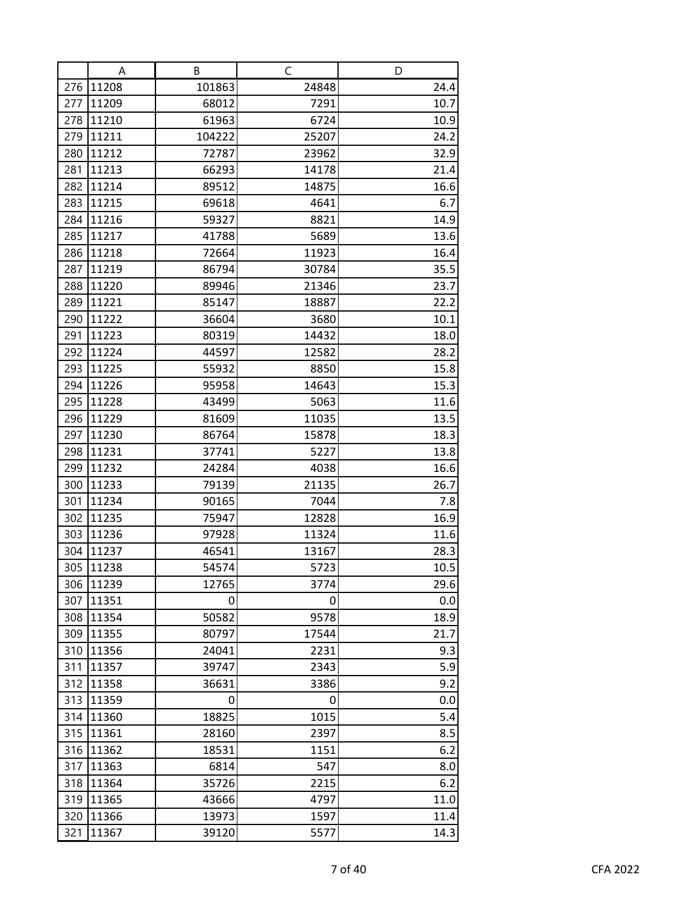|     | Α     | В      | C     | D    |
|-----|-------|--------|-------|------|
| 276 | 11208 | 101863 | 24848 | 24.4 |
| 277 | 11209 | 68012  | 7291  | 10.7 |
| 278 | 11210 | 61963  | 6724  | 10.9 |
| 279 | 11211 | 104222 | 25207 | 24.2 |
| 280 | 11212 | 72787  | 23962 | 32.9 |
| 281 | 11213 | 66293  | 14178 | 21.4 |
| 282 | 11214 | 89512  | 14875 | 16.6 |
| 283 | 11215 | 69618  | 4641  | 6.7  |
| 284 | 11216 | 59327  | 8821  | 14.9 |
| 285 | 11217 | 41788  | 5689  | 13.6 |
| 286 | 11218 | 72664  | 11923 | 16.4 |
| 287 | 11219 | 86794  | 30784 | 35.5 |
| 288 | 11220 | 89946  | 21346 | 23.7 |
| 289 | 11221 | 85147  | 18887 | 22.2 |
| 290 | 11222 | 36604  | 3680  | 10.1 |
| 291 | 11223 | 80319  | 14432 | 18.0 |
| 292 | 11224 | 44597  | 12582 | 28.2 |
| 293 | 11225 | 55932  | 8850  | 15.8 |
| 294 | 11226 | 95958  | 14643 | 15.3 |
| 295 | 11228 | 43499  | 5063  | 11.6 |
| 296 | 11229 | 81609  | 11035 | 13.5 |
| 297 | 11230 | 86764  | 15878 | 18.3 |
| 298 | 11231 | 37741  | 5227  | 13.8 |
| 299 | 11232 | 24284  | 4038  | 16.6 |
| 300 | 11233 | 79139  | 21135 | 26.7 |
| 301 | 11234 | 90165  | 7044  | 7.8  |
| 302 | 11235 | 75947  | 12828 | 16.9 |
| 303 | 11236 | 97928  | 11324 | 11.6 |
| 304 | 11237 | 46541  | 13167 | 28.3 |
| 305 | 11238 | 54574  | 5723  | 10.5 |
| 306 | 11239 | 12765  | 3774  | 29.6 |
| 307 | 11351 | 0      | 0     | 0.0  |
| 308 | 11354 | 50582  | 9578  | 18.9 |
| 309 | 11355 | 80797  | 17544 | 21.7 |
| 310 | 11356 | 24041  | 2231  | 9.3  |
| 311 | 11357 | 39747  | 2343  | 5.9  |
| 312 | 11358 | 36631  | 3386  | 9.2  |
| 313 | 11359 | 0      | 0     | 0.0  |
| 314 | 11360 | 18825  | 1015  | 5.4  |
| 315 | 11361 | 28160  | 2397  | 8.5  |
| 316 | 11362 | 18531  | 1151  | 6.2  |
| 317 | 11363 | 6814   | 547   | 8.0  |
| 318 | 11364 | 35726  | 2215  | 6.2  |
| 319 | 11365 | 43666  | 4797  | 11.0 |
| 320 | 11366 | 13973  | 1597  | 11.4 |
| 321 | 11367 | 39120  | 5577  | 14.3 |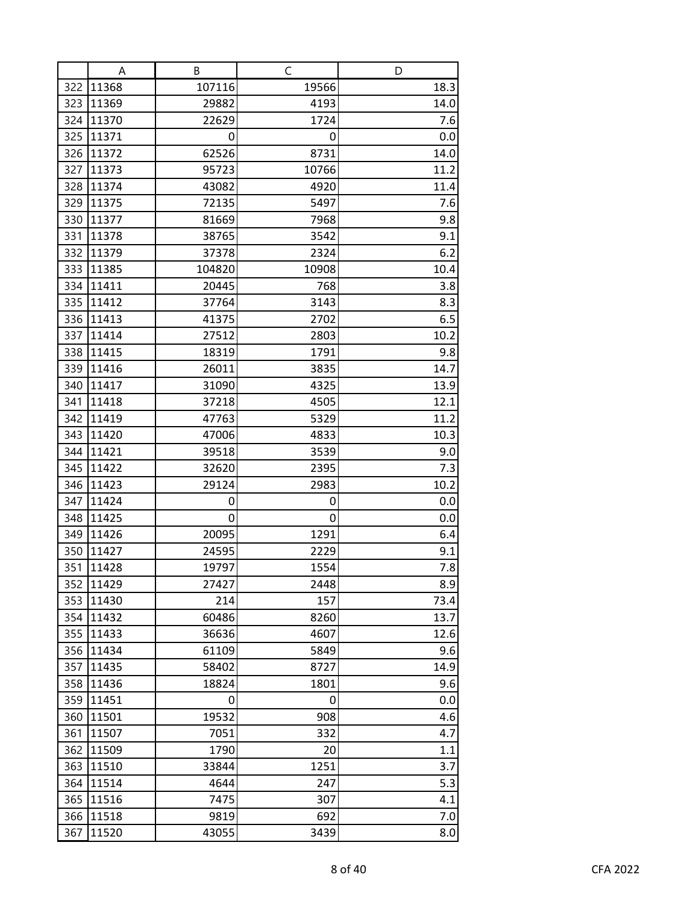|            | A              | B            | C           | D            |
|------------|----------------|--------------|-------------|--------------|
| 322        | 11368          | 107116       | 19566       | 18.3         |
| 323        | 11369          | 29882        | 4193        | 14.0         |
| 324        | 11370          | 22629        | 1724        | 7.6          |
| 325        | 11371          | 0            | 0           | 0.0          |
| 326        | 11372          | 62526        | 8731        | 14.0         |
| 327        | 11373          | 95723        | 10766       | 11.2         |
| 328        | 11374          | 43082        | 4920        | 11.4         |
| 329        | 11375          | 72135        | 5497        | 7.6          |
| 330        | 11377          | 81669        | 7968        | 9.8          |
| 331        | 11378          | 38765        | 3542        | 9.1          |
| 332        | 11379          | 37378        | 2324        | 6.2          |
| 333        | 11385          | 104820       | 10908       | 10.4         |
| 334        | 11411          | 20445        | 768         | 3.8          |
| 335        | 11412          | 37764        | 3143        | 8.3          |
| 336        | 11413          | 41375        | 2702        | 6.5          |
| 337        | 11414          | 27512        | 2803        | 10.2         |
| 338        | 11415          | 18319        | 1791        | 9.8          |
| 339        | 11416          | 26011        | 3835        | 14.7         |
| 340        | 11417          | 31090        | 4325        | 13.9         |
| 341        | 11418          | 37218        | 4505        | 12.1         |
| 342        | 11419          | 47763        | 5329        | 11.2         |
| 343        | 11420          | 47006        | 4833        | 10.3         |
| 344        | 11421          | 39518        | 3539        | 9.0          |
| 345        | 11422          | 32620        | 2395        | 7.3          |
| 346        | 11423          | 29124        | 2983        | 10.2         |
| 347        | 11424          | 0            | 0           | 0.0          |
| 348        | 11425          | 0            | 0           | 0.0          |
| 349        | 11426          | 20095        | 1291        | 6.4          |
| 350        | 11427          | 24595        | 2229        | 9.1          |
| 351        | 11428          | 19797        | 1554        | 7.8          |
| 352        | 11429          | 27427<br>214 | 2448        | 8.9          |
| 353<br>354 | 11430<br>11432 | 60486        | 157<br>8260 | 73.4<br>13.7 |
| 355        | 11433          | 36636        | 4607        | 12.6         |
| 356        | 11434          | 61109        | 5849        | 9.6          |
| 357        | 11435          | 58402        | 8727        | 14.9         |
| 358        | 11436          | 18824        | 1801        | 9.6          |
| 359        | 11451          | 0            | 0           | 0.0          |
| 360        | 11501          | 19532        | 908         | 4.6          |
| 361        | 11507          | 7051         | 332         | 4.7          |
| 362        | 11509          | 1790         | 20          | 1.1          |
| 363        | 11510          | 33844        | 1251        | 3.7          |
| 364        | 11514          | 4644         | 247         | 5.3          |
| 365        | 11516          | 7475         | 307         | 4.1          |
| 366        | 11518          | 9819         | 692         | 7.0          |
| 367        | 11520          | 43055        | 3439        | 8.0          |
|            |                |              |             |              |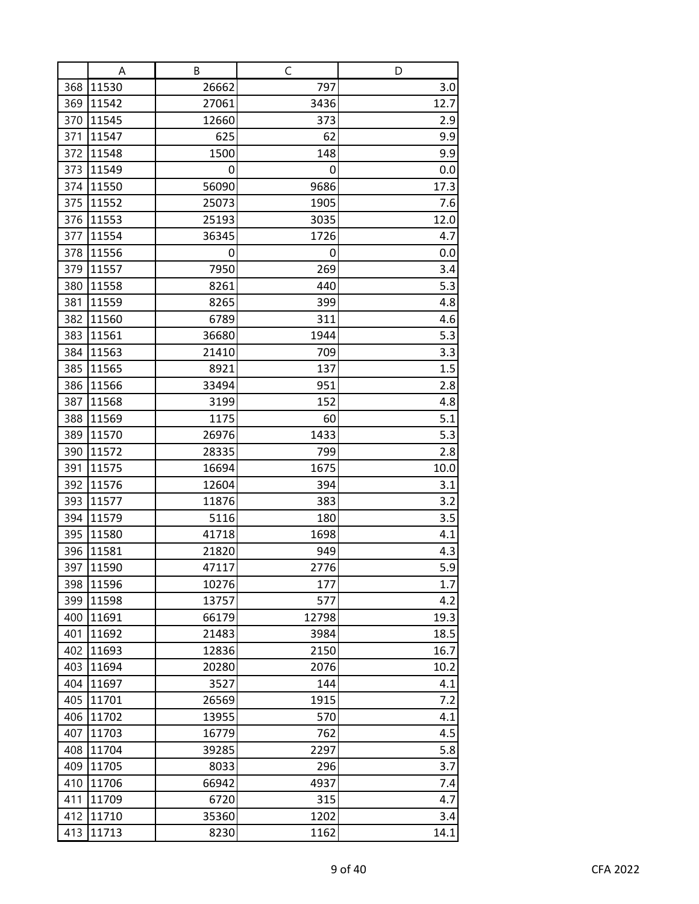|            | A              | В              | C           | D           |
|------------|----------------|----------------|-------------|-------------|
| 368        | 11530          | 26662          | 797         | 3.0         |
| 369        | 11542          | 27061          | 3436        | 12.7        |
| 370        | 11545          | 12660          | 373         | 2.9         |
| 371        | 11547          | 625            | 62          | 9.9         |
| 372        | 11548          | 1500           | 148         | 9.9         |
| 373        | 11549          | 0              | 0           | 0.0         |
| 374        | 11550          | 56090          | 9686        | 17.3        |
| 375        | 11552          | 25073          | 1905        | 7.6         |
| 376        | 11553          | 25193          | 3035        | 12.0        |
| 377        | 11554          | 36345          | 1726        | 4.7         |
| 378        | 11556          | 0              | 0           | 0.0         |
| 379        | 11557          | 7950           | 269         | 3.4         |
| 380        | 11558          | 8261           | 440         | 5.3         |
| 381        | 11559          | 8265           | 399         | 4.8         |
| 382        | 11560          | 6789           | 311         | 4.6         |
| 383        | 11561          | 36680          | 1944        | 5.3         |
| 384        | 11563          | 21410          | 709         | 3.3         |
| 385        | 11565          | 8921           | 137         | 1.5         |
| 386        | 11566          | 33494          | 951         | 2.8         |
| 387        | 11568          | 3199           | 152         | 4.8         |
| 388        | 11569          | 1175           | 60          | 5.1         |
| 389        | 11570          | 26976          | 1433        | 5.3         |
| 390<br>391 | 11572<br>11575 | 28335<br>16694 | 799<br>1675 | 2.8<br>10.0 |
| 392        | 11576          | 12604          | 394         | 3.1         |
| 393        | 11577          | 11876          | 383         | 3.2         |
| 394        | 11579          | 5116           | 180         | 3.5         |
| 395        | 11580          | 41718          | 1698        | 4.1         |
| 396        | 11581          | 21820          | 949         | 4.3         |
| 397        | 11590          | 47117          | 2776        | 5.9         |
| 398        | 11596          | 10276          | 177         | 1.7         |
| 399        | 11598          | 13757          | 577         | 4.2         |
| 400        | 11691          | 66179          | 12798       | 19.3        |
| 401        | 11692          | 21483          | 3984        | 18.5        |
| 402        | 11693          | 12836          | 2150        | 16.7        |
| 403        | 11694          | 20280          | 2076        | 10.2        |
| 404        | 11697          | 3527           | 144         | 4.1         |
| 405        | 11701          | 26569          | 1915        | 7.2         |
| 406        | 11702          | 13955          | 570         | 4.1         |
| 407        | 11703          | 16779          | 762         | 4.5         |
| 408        | 11704          | 39285          | 2297        | 5.8         |
| 409        | 11705          | 8033           | 296         | 3.7         |
| 410        | 11706          | 66942          | 4937        | 7.4         |
| 411        | 11709          | 6720           | 315         | 4.7         |
| 412        | 11710          | 35360          | 1202        | 3.4         |
| 413        | 11713          | 8230           | 1162        | 14.1        |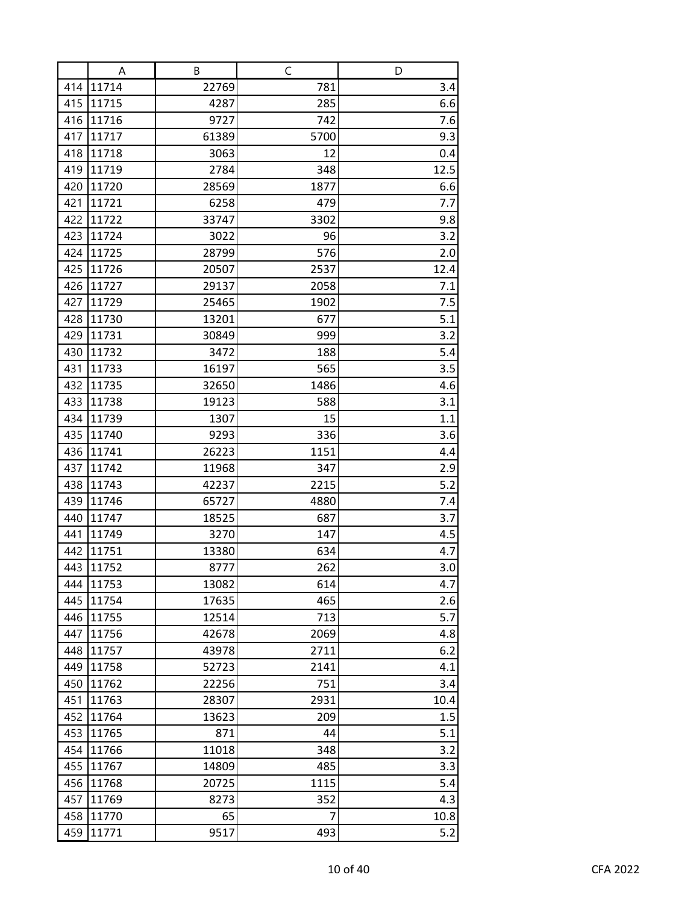|            | A              | В             | C           | D          |
|------------|----------------|---------------|-------------|------------|
| 414        | 11714          | 22769         | 781         | 3.4        |
| 415        | 11715          | 4287          | 285         | 6.6        |
| 416        | 11716          | 9727          | 742         | 7.6        |
| 417        | 11717          | 61389         | 5700        | 9.3        |
| 418        | 11718          | 3063          | 12          | 0.4        |
| 419        | 11719          | 2784          | 348         | 12.5       |
| 420        | 11720          | 28569         | 1877        | 6.6        |
| 421        | 11721          | 6258          | 479         | 7.7        |
| 422        | 11722          | 33747         | 3302        | 9.8        |
| 423        | 11724          | 3022          | 96          | 3.2        |
| 424        | 11725          | 28799         | 576         | 2.0        |
| 425        | 11726          | 20507         | 2537        | 12.4       |
| 426        | 11727          | 29137         | 2058        | 7.1        |
| 427        | 11729          | 25465         | 1902        | 7.5        |
| 428        | 11730          | 13201         | 677         | 5.1        |
| 429        | 11731          | 30849         | 999         | 3.2        |
| 430        | 11732          | 3472          | 188         | 5.4        |
| 431        | 11733          | 16197         | 565         | 3.5        |
| 432        | 11735          | 32650         | 1486        | 4.6        |
| 433        | 11738          | 19123         | 588         | 3.1        |
| 434        | 11739<br>11740 | 1307          | 15          | 1.1        |
| 435<br>436 | 11741          | 9293<br>26223 | 336<br>1151 | 3.6<br>4.4 |
| 437        | 11742          | 11968         | 347         | 2.9        |
| 438        | 11743          | 42237         | 2215        | 5.2        |
| 439        | 11746          | 65727         | 4880        | 7.4        |
| 440        | 11747          | 18525         | 687         | 3.7        |
| 441        | 11749          | 3270          | 147         | 4.5        |
| 442        | 11751          | 13380         | 634         | 4.7        |
| 443        | 11752          | 8777          | 262         | 3.0        |
| 444        | 11753          | 13082         | 614         | 4.7        |
| 445        | 11754          | 17635         | 465         | 2.6        |
| 446        | 11755          | 12514         | 713         | 5.7        |
| 447        | 11756          | 42678         | 2069        | 4.8        |
| 448        | 11757          | 43978         | 2711        | 6.2        |
| 449        | 11758          | 52723         | 2141        | 4.1        |
| 450        | 11762          | 22256         | 751         | 3.4        |
| 451        | 11763          | 28307         | 2931        | 10.4       |
| 452        | 11764          | 13623         | 209         | 1.5        |
| 453        | 11765          | 871           | 44          | 5.1        |
| 454        | 11766          | 11018         | 348         | 3.2        |
| 455        | 11767          | 14809         | 485         | 3.3        |
| 456        | 11768          | 20725         | 1115        | 5.4        |
| 457        | 11769          | 8273          | 352         | 4.3        |
| 458        | 11770          | 65            | 7           | 10.8       |
| 459        | 11771          | 9517          | 493         | 5.2        |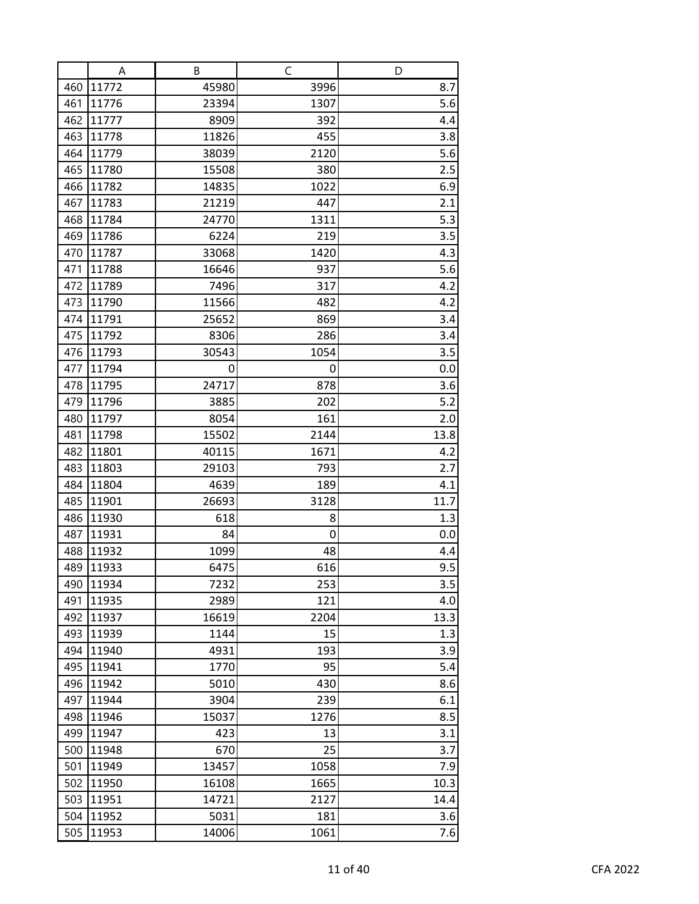|            | A              | В             | C            | D           |
|------------|----------------|---------------|--------------|-------------|
| 460        | 11772          | 45980         | 3996         | 8.7         |
| 461        | 11776          | 23394         | 1307         | 5.6         |
| 462        | 11777          | 8909          | 392          | 4.4         |
| 463        | 11778          | 11826         | 455          | 3.8         |
| 464        | 11779          | 38039         | 2120         | 5.6         |
| 465        | 11780          | 15508         | 380          | 2.5         |
| 466        | 11782          | 14835         | 1022         | 6.9         |
| 467        | 11783          | 21219         | 447          | 2.1         |
| 468        | 11784          | 24770         | 1311         | 5.3         |
| 469        | 11786          | 6224          | 219          | 3.5         |
| 470        | 11787          | 33068         | 1420         | 4.3         |
| 471        | 11788          | 16646         | 937          | 5.6         |
| 472        | 11789          | 7496          | 317          | 4.2         |
| 473        | 11790          | 11566         | 482          | 4.2         |
| 474        | 11791          | 25652         | 869          | 3.4         |
| 475        | 11792          | 8306          | 286          | 3.4         |
| 476        | 11793          | 30543         | 1054         | 3.5         |
| 477        | 11794          | 0             | 0            | 0.0         |
| 478        | 11795          | 24717         | 878          | 3.6         |
| 479        | 11796          | 3885          | 202          | 5.2         |
| 480        | 11797          | 8054<br>15502 | 161          | 2.0         |
| 481<br>482 | 11798<br>11801 | 40115         | 2144<br>1671 | 13.8<br>4.2 |
| 483        | 11803          | 29103         | 793          | 2.7         |
| 484        | 11804          | 4639          | 189          | 4.1         |
| 485        | 11901          | 26693         | 3128         | 11.7        |
| 486        | 11930          | 618           | 8            | 1.3         |
| 487        | 11931          | 84            | 0            | 0.0         |
| 488        | 11932          | 1099          | 48           | 4.4         |
| 489        | 11933          | 6475          | 616          | 9.5         |
| 490        | 11934          | 7232          | 253          | 3.5         |
| 491        | 11935          | 2989          | 121          | 4.0         |
| 492        | 11937          | 16619         | 2204         | 13.3        |
| 493        | 11939          | 1144          | 15           | 1.3         |
| 494        | 11940          | 4931          | 193          | 3.9         |
| 495        | 11941          | 1770          | 95           | 5.4         |
| 496        | 11942          | 5010          | 430          | 8.6         |
| 497        | 11944          | 3904          | 239          | 6.1         |
| 498        | 11946          | 15037         | 1276         | 8.5         |
| 499        | 11947          | 423           | 13           | 3.1         |
| 500        | 11948          | 670           | 25           | 3.7         |
| 501        | 11949          | 13457         | 1058         | 7.9         |
| 502        | 11950          | 16108         | 1665         | 10.3        |
| 503        | 11951          | 14721         | 2127         | 14.4        |
| 504        | 11952          | 5031          | 181          | 3.6         |
| 505        | 11953          | 14006         | 1061         | 7.6         |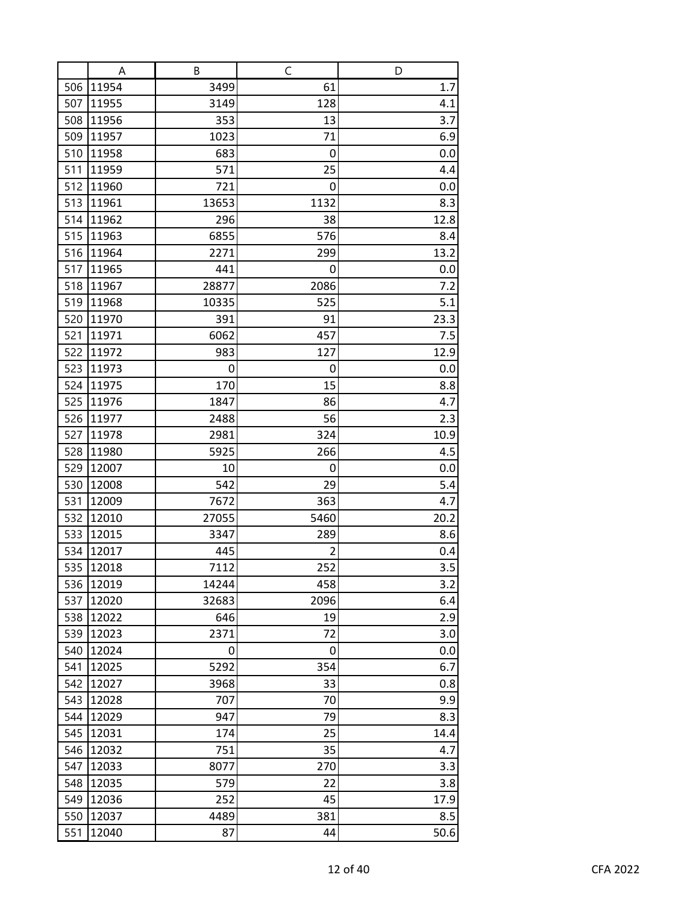|     | A     | В     | $\mathsf C$    | D    |
|-----|-------|-------|----------------|------|
| 506 | 11954 | 3499  | 61             | 1.7  |
| 507 | 11955 | 3149  | 128            | 4.1  |
| 508 | 11956 | 353   | 13             | 3.7  |
| 509 | 11957 | 1023  | 71             | 6.9  |
| 510 | 11958 | 683   | 0              | 0.0  |
| 511 | 11959 | 571   | 25             | 4.4  |
| 512 | 11960 | 721   | 0              | 0.0  |
| 513 | 11961 | 13653 | 1132           | 8.3  |
| 514 | 11962 | 296   | 38             | 12.8 |
| 515 | 11963 | 6855  | 576            | 8.4  |
| 516 | 11964 | 2271  | 299            | 13.2 |
| 517 | 11965 | 441   | 0              | 0.0  |
| 518 | 11967 | 28877 | 2086           | 7.2  |
| 519 | 11968 | 10335 | 525            | 5.1  |
| 520 | 11970 | 391   | 91             | 23.3 |
| 521 | 11971 | 6062  | 457            | 7.5  |
| 522 | 11972 | 983   | 127            | 12.9 |
| 523 | 11973 | 0     | 0              | 0.0  |
| 524 | 11975 | 170   | 15             | 8.8  |
| 525 | 11976 | 1847  | 86             | 4.7  |
| 526 | 11977 | 2488  | 56             | 2.3  |
| 527 | 11978 | 2981  | 324            | 10.9 |
| 528 | 11980 | 5925  | 266            | 4.5  |
| 529 | 12007 | 10    | 0              | 0.0  |
| 530 | 12008 | 542   | 29             | 5.4  |
| 531 | 12009 | 7672  | 363            | 4.7  |
| 532 | 12010 | 27055 | 5460           | 20.2 |
| 533 | 12015 | 3347  | 289            | 8.6  |
| 534 | 12017 | 445   | $\overline{2}$ | 0.4  |
| 535 | 12018 | 7112  | 252            | 3.5  |
| 536 | 12019 | 14244 | 458            | 3.2  |
| 537 | 12020 | 32683 | 2096           | 6.4  |
| 538 | 12022 | 646   | 19             | 2.9  |
| 539 | 12023 | 2371  | 72             | 3.0  |
| 540 | 12024 | 0     | 0              | 0.0  |
| 541 | 12025 | 5292  | 354            | 6.7  |
| 542 | 12027 | 3968  | 33             | 0.8  |
| 543 | 12028 | 707   | 70             | 9.9  |
| 544 | 12029 | 947   | 79             | 8.3  |
| 545 | 12031 | 174   | 25             | 14.4 |
| 546 | 12032 | 751   | 35             | 4.7  |
| 547 | 12033 | 8077  | 270            | 3.3  |
| 548 | 12035 | 579   | 22             | 3.8  |
| 549 | 12036 | 252   | 45             | 17.9 |
| 550 | 12037 | 4489  | 381            | 8.5  |
| 551 | 12040 | 87    | 44             | 50.6 |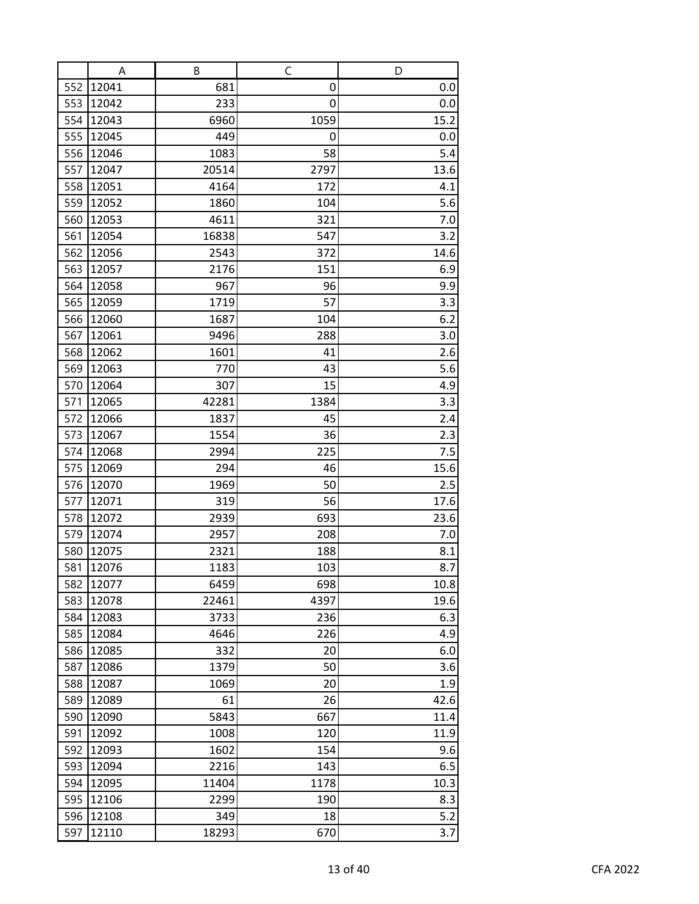|            | A              | В             | C           | D    |
|------------|----------------|---------------|-------------|------|
| 552        | 12041          | 681           | 0           | 0.0  |
| 553        | 12042          | 233           | 0           | 0.0  |
| 554        | 12043          | 6960          | 1059        | 15.2 |
| 555        | 12045          | 449           | 0           | 0.0  |
| 556        | 12046          | 1083          | 58          | 5.4  |
| 557        | 12047          | 20514         | 2797        | 13.6 |
| 558        | 12051          | 4164          | 172         | 4.1  |
| 559        | 12052          | 1860          | 104         | 5.6  |
| 560        | 12053          | 4611          | 321         | 7.0  |
| 561        | 12054          | 16838         | 547         | 3.2  |
| 562        | 12056          | 2543          | 372         | 14.6 |
| 563        | 12057          | 2176          | 151         | 6.9  |
| 564        | 12058          | 967           | 96          | 9.9  |
| 565        | 12059          | 1719          | 57          | 3.3  |
| 566        | 12060          | 1687          | 104         | 6.2  |
| 567        | 12061          | 9496          | 288         | 3.0  |
| 568        | 12062          | 1601          | 41          | 2.6  |
| 569        | 12063          | 770           | 43          | 5.6  |
| 570        | 12064          | 307           | 15          | 4.9  |
| 571        | 12065          | 42281         | 1384        | 3.3  |
| 572        | 12066          | 1837          | 45          | 2.4  |
| 573        | 12067          | 1554          | 36          | 2.3  |
| 574        | 12068          | 2994          | 225         | 7.5  |
| 575        | 12069          | 294           | 46          | 15.6 |
| 576        | 12070          | 1969          | 50          | 2.5  |
| 577        | 12071          | 319           | 56          | 17.6 |
| 578        | 12072          | 2939          | 693         | 23.6 |
| 579        | 12074          | 2957          | 208         | 7.0  |
| 580        | 12075          | 2321          | 188         | 8.1  |
| 581        | 12076          | 1183          | 103         | 8.7  |
| 582        | 12077          | 6459          | 698         | 10.8 |
| 583        | 12078          | 22461         | 4397        | 19.6 |
| 584        | 12083          | 3733          | 236         | 6.3  |
| 585        | 12084          | 4646          | 226         | 4.9  |
| 586        | 12085          | 332           | 20          | 6.0  |
| 587        | 12086          | 1379          | 50          | 3.6  |
| 588        | 12087          | 1069          | 20          | 1.9  |
| 589        | 12089          | 61            | 26          | 42.6 |
| 590        | 12090          | 5843          | 667         | 11.4 |
| 591        | 12092          | 1008          | 120         | 11.9 |
| 592        | 12093          | 1602          | 154         | 9.6  |
| 593<br>594 | 12094<br>12095 | 2216<br>11404 | 143         | 6.5  |
| 595        |                | 2299          | 1178<br>190 | 10.3 |
|            | 12106          |               |             | 8.3  |
| 596<br>597 | 12108<br>12110 | 349<br>18293  | 18<br>670   | 5.2  |
|            |                |               |             | 3.7  |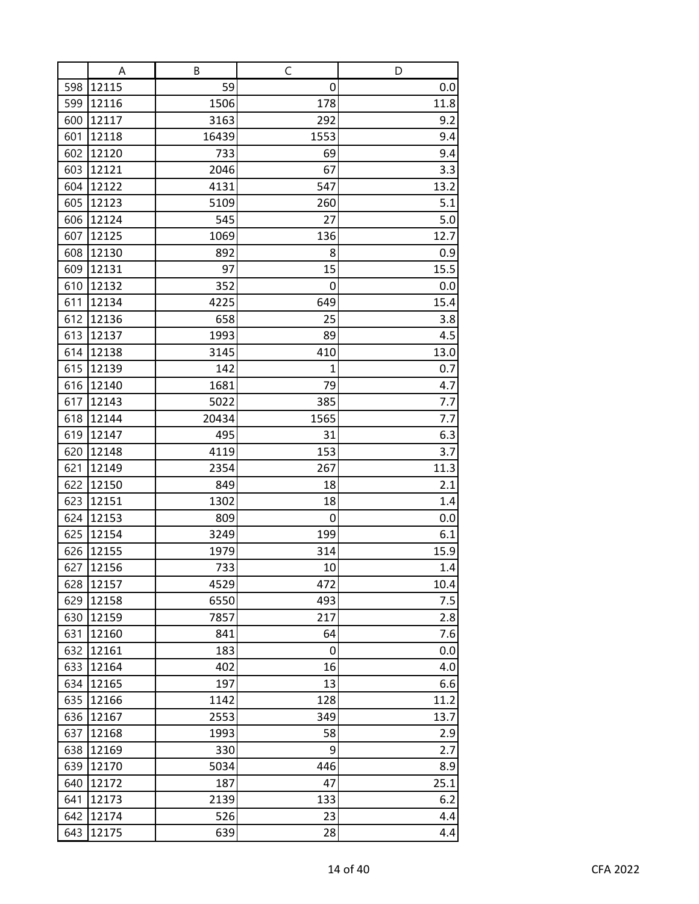|            | A              | B          | $\mathsf C$  | D           |
|------------|----------------|------------|--------------|-------------|
| 598        | 12115          | 59         | 0            | 0.0         |
| 599        | 12116          | 1506       | 178          | 11.8        |
| 600        | 12117          | 3163       | 292          | 9.2         |
| 601        | 12118          | 16439      | 1553         | 9.4         |
| 602        | 12120          | 733        | 69           | 9.4         |
| 603        | 12121          | 2046       | 67           | 3.3         |
| 604        | 12122          | 4131       | 547          | 13.2        |
| 605        | 12123          | 5109       | 260          | 5.1         |
| 606        | 12124          | 545        | 27           | 5.0         |
| 607        | 12125          | 1069       | 136          | 12.7        |
| 608        | 12130          | 892        | 8            | 0.9         |
| 609        | 12131          | 97         | 15           | 15.5        |
| 610        | 12132          | 352        | 0            | 0.0         |
| 611        | 12134          | 4225       | 649          | 15.4        |
| 612        | 12136          | 658        | 25           | 3.8         |
| 613        | 12137          | 1993       | 89           | 4.5         |
| 614        | 12138          | 3145       | 410          | 13.0        |
| 615        | 12139          | 142        | $\mathbf{1}$ | 0.7         |
| 616        | 12140          | 1681       | 79           | 4.7         |
| 617        | 12143          | 5022       | 385          | 7.7         |
| 618        | 12144          | 20434      | 1565         | 7.7         |
| 619        | 12147          | 495        | 31           | 6.3         |
| 620        | 12148          | 4119       | 153          | 3.7         |
| 621        | 12149          | 2354       | 267          | 11.3        |
| 622        | 12150          | 849        | 18           | 2.1         |
| 623        | 12151          | 1302       | 18           | 1.4         |
| 624        | 12153          | 809        | 0            | 0.0         |
| 625        | 12154          | 3249       | 199          | 6.1         |
| 626        | 12155          | 1979       | 314          | 15.9        |
| 627        | 12156          | 733        | 10           | 1.4         |
| 628        | 12157          | 4529       | 472          | 10.4        |
| 629        | 12158          | 6550       | 493          | 7.5         |
| 630        | 12159          | 7857       | 217          | 2.8         |
| 631        | 12160          | 841        | 64           | 7.6         |
| 632        | 12161          | 183        | 0            | 0.0         |
| 633        | 12164          | 402<br>197 | 16           | 4.0         |
| 634<br>635 | 12165<br>12166 | 1142       | 13<br>128    | 6.6<br>11.2 |
| 636        | 12167          | 2553       | 349          | 13.7        |
| 637        | 12168          | 1993       | 58           | 2.9         |
| 638        | 12169          | 330        | 9            | 2.7         |
| 639        | 12170          | 5034       | 446          | 8.9         |
| 640        | 12172          | 187        | 47           | 25.1        |
| 641        | 12173          | 2139       | 133          | 6.2         |
| 642        | 12174          | 526        | 23           | 4.4         |
| 643        | 12175          | 639        | 28           | 4.4         |
|            |                |            |              |             |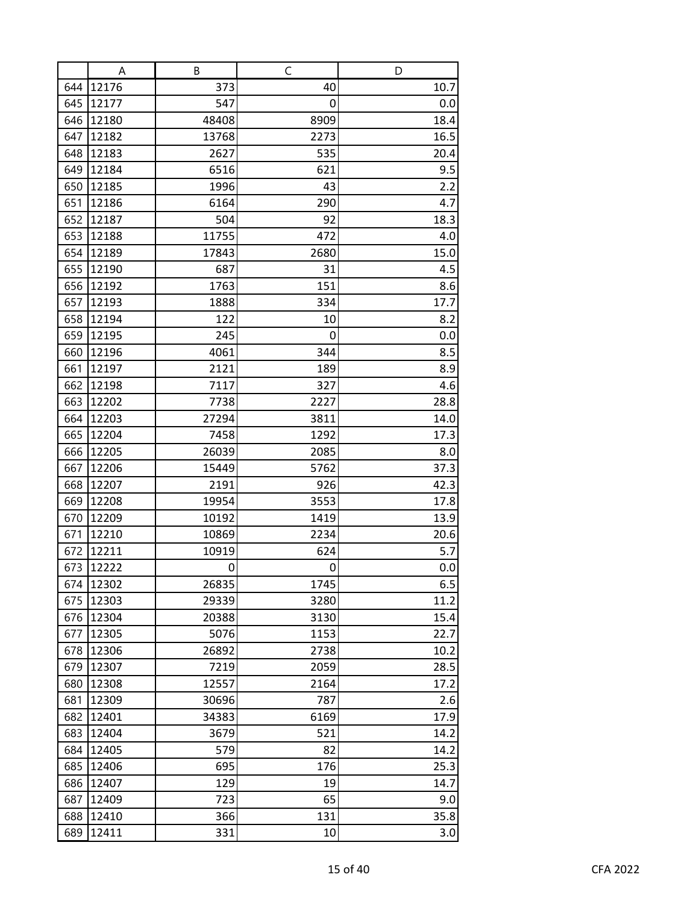|     | A     | В     | C    | D    |
|-----|-------|-------|------|------|
| 644 | 12176 | 373   | 40   | 10.7 |
| 645 | 12177 | 547   | 0    | 0.0  |
| 646 | 12180 | 48408 | 8909 | 18.4 |
| 647 | 12182 | 13768 | 2273 | 16.5 |
| 648 | 12183 | 2627  | 535  | 20.4 |
| 649 | 12184 | 6516  | 621  | 9.5  |
| 650 | 12185 | 1996  | 43   | 2.2  |
| 651 | 12186 | 6164  | 290  | 4.7  |
| 652 | 12187 | 504   | 92   | 18.3 |
| 653 | 12188 | 11755 | 472  | 4.0  |
| 654 | 12189 | 17843 | 2680 | 15.0 |
| 655 | 12190 | 687   | 31   | 4.5  |
| 656 | 12192 | 1763  | 151  | 8.6  |
| 657 | 12193 | 1888  | 334  | 17.7 |
| 658 | 12194 | 122   | 10   | 8.2  |
| 659 | 12195 | 245   | 0    | 0.0  |
| 660 | 12196 | 4061  | 344  | 8.5  |
| 661 | 12197 | 2121  | 189  | 8.9  |
| 662 | 12198 | 7117  | 327  | 4.6  |
| 663 | 12202 | 7738  | 2227 | 28.8 |
| 664 | 12203 | 27294 | 3811 | 14.0 |
| 665 | 12204 | 7458  | 1292 | 17.3 |
| 666 | 12205 | 26039 | 2085 | 8.0  |
| 667 | 12206 | 15449 | 5762 | 37.3 |
| 668 | 12207 | 2191  | 926  | 42.3 |
| 669 | 12208 | 19954 | 3553 | 17.8 |
| 670 | 12209 | 10192 | 1419 | 13.9 |
| 671 | 12210 | 10869 | 2234 | 20.6 |
| 672 | 12211 | 10919 | 624  | 5.7  |
| 673 | 12222 | 0     | 0    | 0.0  |
| 674 | 12302 | 26835 | 1745 | 6.5  |
| 675 | 12303 | 29339 | 3280 | 11.2 |
| 676 | 12304 | 20388 | 3130 | 15.4 |
| 677 | 12305 | 5076  | 1153 | 22.7 |
| 678 | 12306 | 26892 | 2738 | 10.2 |
| 679 | 12307 | 7219  | 2059 | 28.5 |
| 680 | 12308 | 12557 | 2164 | 17.2 |
| 681 | 12309 | 30696 | 787  | 2.6  |
| 682 | 12401 | 34383 | 6169 | 17.9 |
| 683 | 12404 | 3679  | 521  | 14.2 |
| 684 | 12405 | 579   | 82   | 14.2 |
| 685 | 12406 | 695   | 176  | 25.3 |
| 686 | 12407 | 129   | 19   | 14.7 |
| 687 | 12409 | 723   | 65   | 9.0  |
| 688 | 12410 | 366   | 131  | 35.8 |
| 689 | 12411 | 331   | 10   | 3.0  |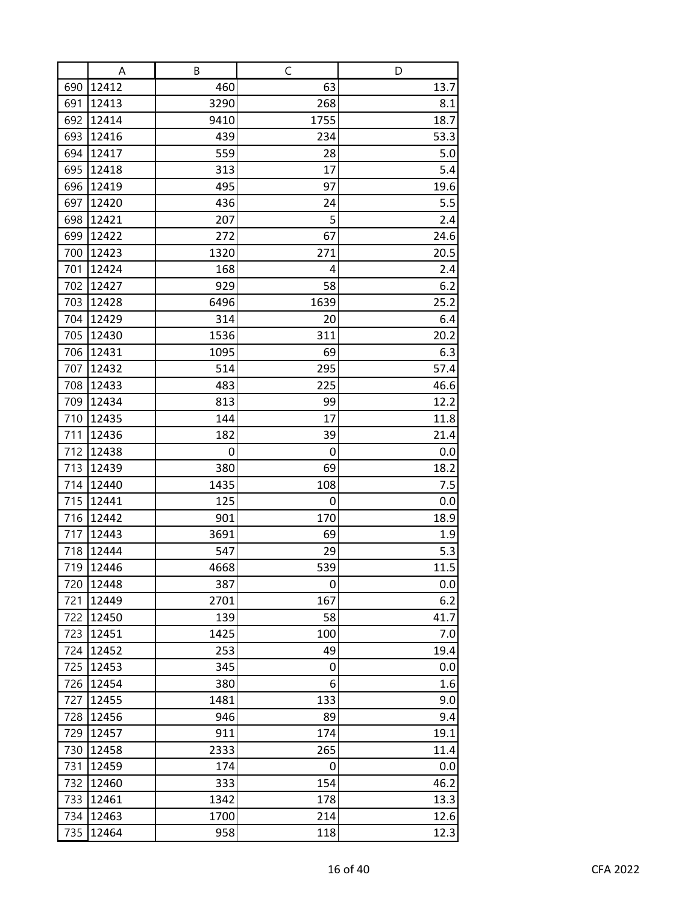|     | A     | В    | $\mathsf C$ | D    |
|-----|-------|------|-------------|------|
| 690 | 12412 | 460  | 63          | 13.7 |
| 691 | 12413 | 3290 | 268         | 8.1  |
| 692 | 12414 | 9410 | 1755        | 18.7 |
| 693 | 12416 | 439  | 234         | 53.3 |
| 694 | 12417 | 559  | 28          | 5.0  |
| 695 | 12418 | 313  | 17          | 5.4  |
| 696 | 12419 | 495  | 97          | 19.6 |
| 697 | 12420 | 436  | 24          | 5.5  |
| 698 | 12421 | 207  | 5           | 2.4  |
| 699 | 12422 | 272  | 67          | 24.6 |
| 700 | 12423 | 1320 | 271         | 20.5 |
| 701 | 12424 | 168  | 4           | 2.4  |
| 702 | 12427 | 929  | 58          | 6.2  |
| 703 | 12428 | 6496 | 1639        | 25.2 |
| 704 | 12429 | 314  | 20          | 6.4  |
| 705 | 12430 | 1536 | 311         | 20.2 |
| 706 | 12431 | 1095 | 69          | 6.3  |
| 707 | 12432 | 514  | 295         | 57.4 |
| 708 | 12433 | 483  | 225         | 46.6 |
| 709 | 12434 | 813  | 99          | 12.2 |
| 710 | 12435 | 144  | 17          | 11.8 |
| 711 | 12436 | 182  | 39          | 21.4 |
| 712 | 12438 | 0    | 0           | 0.0  |
| 713 | 12439 | 380  | 69          | 18.2 |
| 714 | 12440 | 1435 | 108         | 7.5  |
| 715 | 12441 | 125  | 0           | 0.0  |
| 716 | 12442 | 901  | 170         | 18.9 |
| 717 | 12443 | 3691 | 69          | 1.9  |
| 718 | 12444 | 547  | 29          | 5.3  |
| 719 | 12446 | 4668 | 539         | 11.5 |
| 720 | 12448 | 387  | 0           | 0.0  |
| 721 | 12449 | 2701 | 167         | 6.2  |
| 722 | 12450 | 139  | 58          | 41.7 |
| 723 | 12451 | 1425 | 100         | 7.0  |
| 724 | 12452 | 253  | 49          | 19.4 |
| 725 | 12453 | 345  | 0           | 0.0  |
| 726 | 12454 | 380  | 6           | 1.6  |
| 727 | 12455 | 1481 | 133         | 9.0  |
| 728 | 12456 | 946  | 89          | 9.4  |
| 729 | 12457 | 911  | 174         | 19.1 |
| 730 | 12458 | 2333 | 265         | 11.4 |
| 731 | 12459 | 174  | 0           | 0.0  |
| 732 | 12460 | 333  | 154         | 46.2 |
| 733 | 12461 | 1342 | 178         | 13.3 |
| 734 | 12463 | 1700 | 214         | 12.6 |
| 735 | 12464 | 958  | 118         | 12.3 |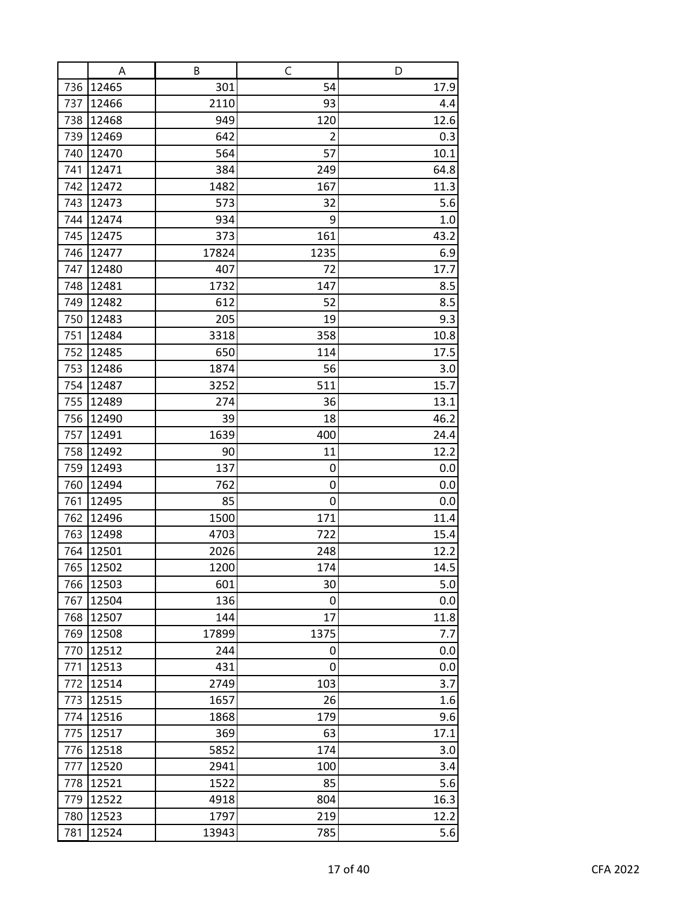|            | A              | B           | C              | D           |
|------------|----------------|-------------|----------------|-------------|
| 736        | 12465          | 301         | 54             | 17.9        |
| 737        | 12466          | 2110        | 93             | 4.4         |
| 738        | 12468          | 949         | 120            | 12.6        |
| 739        | 12469          | 642         | $\overline{2}$ | 0.3         |
| 740        | 12470          | 564         | 57             | 10.1        |
| 741        | 12471          | 384         | 249            | 64.8        |
| 742        | 12472          | 1482        | 167            | 11.3        |
| 743        | 12473          | 573         | 32             | 5.6         |
| 744        | 12474          | 934         | 9              | 1.0         |
| 745        | 12475          | 373         | 161            | 43.2        |
| 746        | 12477          | 17824       | 1235           | 6.9         |
| 747        | 12480          | 407         | 72             | 17.7        |
| 748        | 12481          | 1732        | 147            | 8.5         |
| 749        | 12482          | 612         | 52             | 8.5         |
| 750        | 12483          | 205         | 19             | 9.3         |
| 751        | 12484          | 3318        | 358            | 10.8        |
| 752        | 12485          | 650         | 114            | 17.5        |
| 753        | 12486          | 1874        | 56             | 3.0         |
| 754        | 12487          | 3252        | 511            | 15.7        |
| 755        | 12489          | 274         | 36             | 13.1        |
| 756        | 12490          | 39          | 18             | 46.2        |
| 757        | 12491          | 1639        | 400            | 24.4        |
| 758        | 12492          | 90          | 11             | 12.2        |
| 759        | 12493          | 137         | 0              | $0.0\,$     |
| 760        | 12494          | 762         | 0              | 0.0         |
| 761        | 12495          | 85          | 0              | 0.0         |
| 762        | 12496          | 1500        | 171            | 11.4        |
| 763        | 12498          | 4703        | 722            | 15.4        |
| 764        | 12501          | 2026        | 248            | 12.2        |
| 765        | 12502          | 1200<br>601 | 174            | 14.5<br>5.0 |
| 766        | 12503<br>12504 |             | 30<br>0        |             |
| 767<br>768 | 12507          | 136<br>144  | 17             | 0.0<br>11.8 |
| 769        | 12508          | 17899       | 1375           | 7.7         |
| 770        | 12512          | 244         | 0              | 0.0         |
| 771        | 12513          | 431         | 0              | 0.0         |
| 772        | 12514          | 2749        | 103            | 3.7         |
| 773        | 12515          | 1657        | 26             | 1.6         |
| 774        | 12516          | 1868        | 179            | 9.6         |
| 775        | 12517          | 369         | 63             | 17.1        |
| 776        | 12518          | 5852        | 174            | 3.0         |
| 777        | 12520          | 2941        | 100            | 3.4         |
| 778        | 12521          | 1522        | 85             | 5.6         |
| 779        | 12522          | 4918        | 804            | 16.3        |
| 780        | 12523          | 1797        | 219            | 12.2        |
| 781        | 12524          | 13943       | 785            | 5.6         |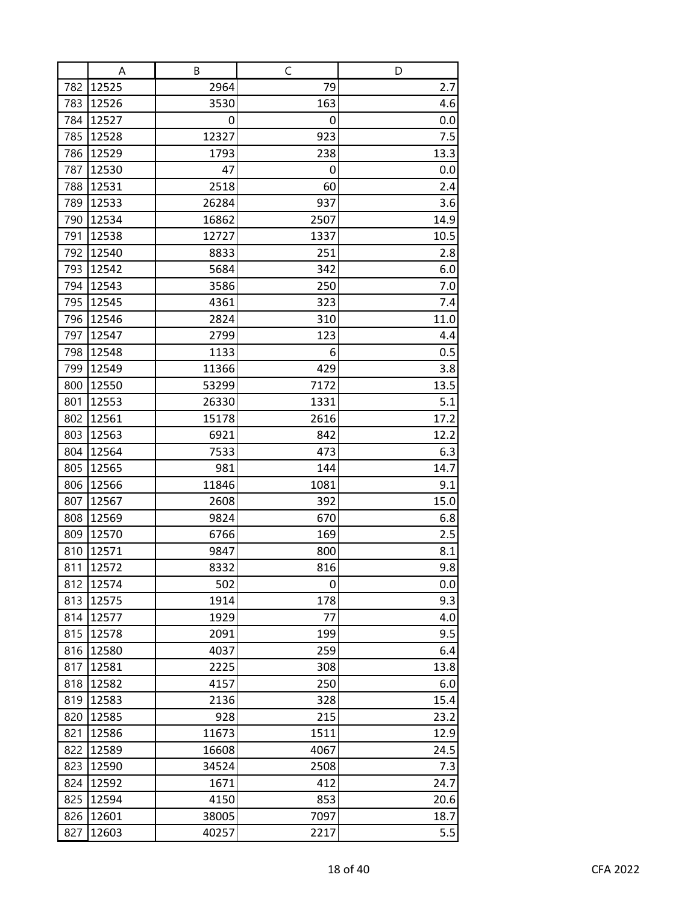|            | A              | B            | C          | D           |
|------------|----------------|--------------|------------|-------------|
| 782        | 12525          | 2964         | 79         | 2.7         |
| 783        | 12526          | 3530         | 163        | 4.6         |
| 784        | 12527          | 0            | 0          | 0.0         |
| 785        | 12528          | 12327        | 923        | 7.5         |
| 786        | 12529          | 1793         | 238        | 13.3        |
| 787        | 12530          | 47           | 0          | 0.0         |
| 788        | 12531          | 2518         | 60         | 2.4         |
| 789        | 12533          | 26284        | 937        | 3.6         |
| 790        | 12534          | 16862        | 2507       | 14.9        |
| 791        | 12538          | 12727        | 1337       | 10.5        |
| 792        | 12540          | 8833         | 251        | 2.8         |
| 793        | 12542          | 5684         | 342        | 6.0         |
| 794        | 12543          | 3586         | 250        | 7.0         |
| 795        | 12545          | 4361         | 323        | 7.4         |
| 796        | 12546          | 2824         | 310        | 11.0        |
| 797        | 12547          | 2799         | 123        | 4.4         |
| 798        | 12548          | 1133         | 6          | 0.5         |
| 799        | 12549          | 11366        | 429        | 3.8         |
| 800        | 12550          | 53299        | 7172       | 13.5        |
| 801        | 12553          | 26330        | 1331       | 5.1         |
| 802        | 12561<br>12563 | 15178        | 2616       | 17.2        |
| 803<br>804 | 12564          | 6921<br>7533 | 842<br>473 | 12.2<br>6.3 |
| 805        | 12565          | 981          | 144        | 14.7        |
| 806        | 12566          | 11846        | 1081       | 9.1         |
| 807        | 12567          | 2608         | 392        | 15.0        |
| 808        | 12569          | 9824         | 670        | 6.8         |
| 809        | 12570          | 6766         | 169        | 2.5         |
| 810        | 12571          | 9847         | 800        | 8.1         |
| 811        | 12572          | 8332         | 816        | 9.8         |
| 812        | 12574          | 502          | 0          | 0.0         |
| 813        | 12575          | 1914         | 178        | 9.3         |
| 814        | 12577          | 1929         | 77         | 4.0         |
| 815        | 12578          | 2091         | 199        | 9.5         |
| 816        | 12580          | 4037         | 259        | 6.4         |
| 817        | 12581          | 2225         | 308        | 13.8        |
| 818        | 12582          | 4157         | 250        | 6.0         |
| 819        | 12583          | 2136         | 328        | 15.4        |
| 820        | 12585          | 928          | 215        | 23.2        |
| 821        | 12586          | 11673        | 1511       | 12.9        |
| 822        | 12589          | 16608        | 4067       | 24.5        |
| 823        | 12590          | 34524        | 2508       | 7.3         |
| 824        | 12592          | 1671         | 412        | 24.7        |
| 825        | 12594          | 4150         | 853        | 20.6        |
| 826        | 12601          | 38005        | 7097       | 18.7        |
| 827        | 12603          | 40257        | 2217       | 5.5         |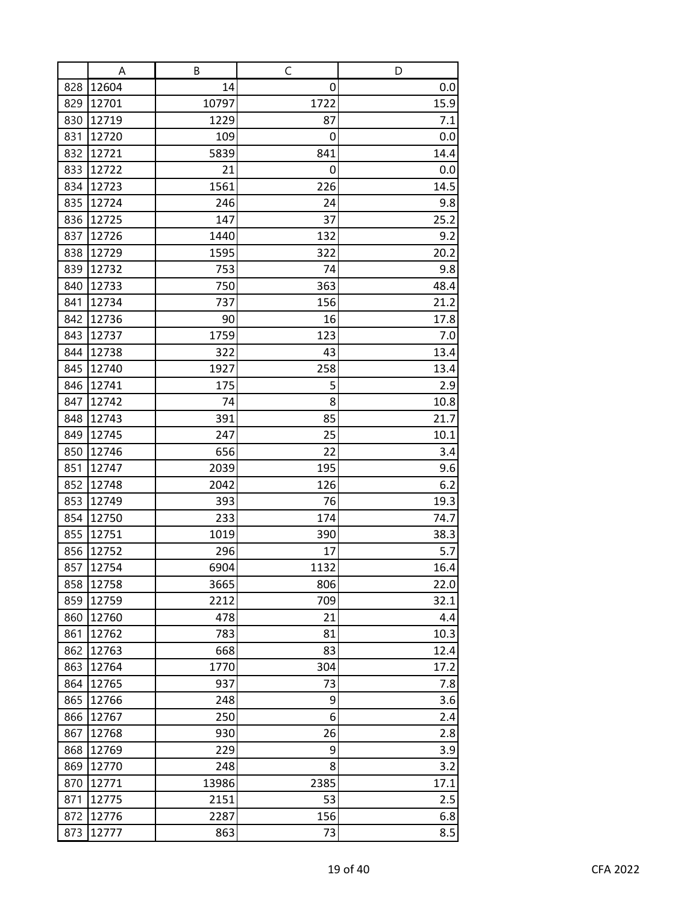|     | Α     | B     | $\mathsf C$ | D    |
|-----|-------|-------|-------------|------|
| 828 | 12604 | 14    | 0           | 0.0  |
| 829 | 12701 | 10797 | 1722        | 15.9 |
| 830 | 12719 | 1229  | 87          | 7.1  |
| 831 | 12720 | 109   | 0           | 0.0  |
| 832 | 12721 | 5839  | 841         | 14.4 |
| 833 | 12722 | 21    | 0           | 0.0  |
| 834 | 12723 | 1561  | 226         | 14.5 |
| 835 | 12724 | 246   | 24          | 9.8  |
| 836 | 12725 | 147   | 37          | 25.2 |
| 837 | 12726 | 1440  | 132         | 9.2  |
| 838 | 12729 | 1595  | 322         | 20.2 |
| 839 | 12732 | 753   | 74          | 9.8  |
| 840 | 12733 | 750   | 363         | 48.4 |
| 841 | 12734 | 737   | 156         | 21.2 |
| 842 | 12736 | 90    | 16          | 17.8 |
| 843 | 12737 | 1759  | 123         | 7.0  |
| 844 | 12738 | 322   | 43          | 13.4 |
| 845 | 12740 | 1927  | 258         | 13.4 |
| 846 | 12741 | 175   | 5           | 2.9  |
| 847 | 12742 | 74    | 8           | 10.8 |
| 848 | 12743 | 391   | 85          | 21.7 |
| 849 | 12745 | 247   | 25          | 10.1 |
| 850 | 12746 | 656   | 22          | 3.4  |
| 851 | 12747 | 2039  | 195         | 9.6  |
| 852 | 12748 | 2042  | 126         | 6.2  |
| 853 | 12749 | 393   | 76          | 19.3 |
| 854 | 12750 | 233   | 174         | 74.7 |
| 855 | 12751 | 1019  | 390         | 38.3 |
| 856 | 12752 | 296   | 17          | 5.7  |
| 857 | 12754 | 6904  | 1132        | 16.4 |
| 858 | 12758 | 3665  | 806         | 22.0 |
| 859 | 12759 | 2212  | 709         | 32.1 |
| 860 | 12760 | 478   | 21          | 4.4  |
| 861 | 12762 | 783   | 81          | 10.3 |
| 862 | 12763 | 668   | 83          | 12.4 |
| 863 | 12764 | 1770  | 304         | 17.2 |
| 864 | 12765 | 937   | 73          | 7.8  |
| 865 | 12766 | 248   | 9           | 3.6  |
| 866 | 12767 | 250   | 6           | 2.4  |
| 867 | 12768 | 930   | 26          | 2.8  |
| 868 | 12769 | 229   | 9<br>8      | 3.9  |
| 869 | 12770 | 248   |             | 3.2  |
| 870 | 12771 | 13986 | 2385        | 17.1 |
| 871 | 12775 | 2151  | 53          | 2.5  |
| 872 | 12776 | 2287  | 156         | 6.8  |
| 873 | 12777 | 863   | 73          | 8.5  |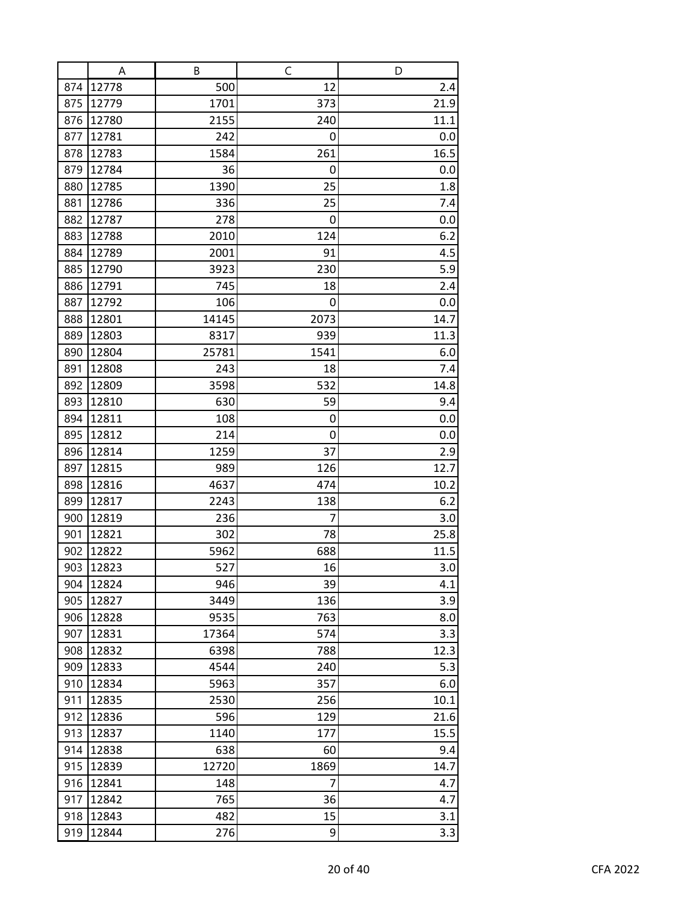|            | Α              | B             | C          | D          |
|------------|----------------|---------------|------------|------------|
| 874        | 12778          | 500           | 12         | 2.4        |
| 875        | 12779          | 1701          | 373        | 21.9       |
| 876        | 12780          | 2155          | 240        | 11.1       |
| 877        | 12781          | 242           | 0          | 0.0        |
| 878        | 12783          | 1584          | 261        | 16.5       |
| 879        | 12784          | 36            | 0          | 0.0        |
| 880        | 12785          | 1390          | 25         | 1.8        |
| 881        | 12786          | 336           | 25         | 7.4        |
| 882        | 12787          | 278           | 0          | 0.0        |
| 883        | 12788          | 2010          | 124        | 6.2        |
| 884        | 12789          | 2001          | 91         | 4.5        |
| 885        | 12790          | 3923          | 230        | 5.9        |
| 886        | 12791          | 745           | 18         | 2.4        |
| 887        | 12792          | 106           | 0          | 0.0        |
| 888        | 12801          | 14145         | 2073       | 14.7       |
| 889        | 12803          | 8317          | 939        | 11.3       |
| 890        | 12804          | 25781         | 1541       | 6.0        |
| 891        | 12808          | 243           | 18         | 7.4        |
| 892        | 12809          | 3598          | 532        | 14.8       |
| 893        | 12810          | 630           | 59         | 9.4        |
| 894        | 12811          | 108           | 0          | 0.0        |
| 895        | 12812          | 214           | 0          | 0.0        |
| 896        | 12814          | 1259          | 37         | 2.9        |
| 897        | 12815          | 989           | 126        | 12.7       |
| 898        | 12816          | 4637          | 474        | 10.2       |
| 899        | 12817          | 2243          | 138        | 6.2        |
| 900        | 12819          | 236           | 7          | 3.0        |
| 901        | 12821          | 302           | 78         | 25.8       |
| 902        | 12822          | 5962          | 688        | 11.5       |
| 903        | 12823          | 527           | 16         | 3.0        |
| 904        | 12824          | 946           | 39         | 4.1        |
| 905<br>906 | 12827<br>12828 | 3449          | 136<br>763 | 3.9        |
| 907        | 12831          | 9535<br>17364 | 574        | 8.0<br>3.3 |
| 908        | 12832          | 6398          | 788        | 12.3       |
| 909        | 12833          | 4544          | 240        | 5.3        |
| 910        | 12834          | 5963          | 357        | 6.0        |
| 911        | 12835          | 2530          | 256        | 10.1       |
| 912        | 12836          | 596           | 129        | 21.6       |
| 913        | 12837          | 1140          | 177        | 15.5       |
| 914        | 12838          | 638           | 60         | 9.4        |
| 915        | 12839          | 12720         | 1869       | 14.7       |
| 916        | 12841          | 148           | 7          | 4.7        |
| 917        | 12842          | 765           | 36         | 4.7        |
| 918        | 12843          | 482           | 15         | 3.1        |
| 919        | 12844          | 276           | 9          | 3.3        |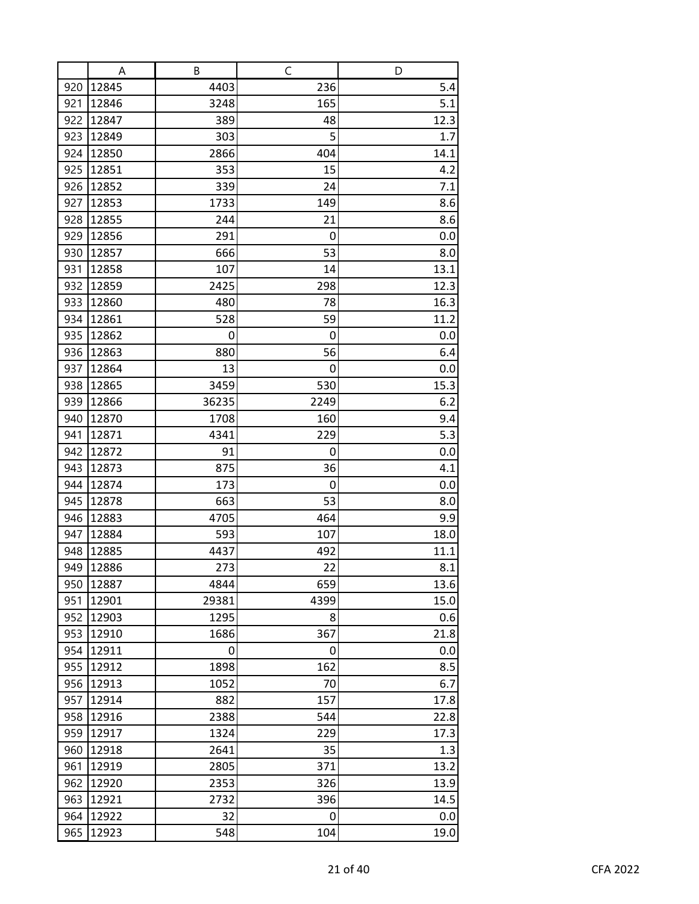|     | Α     | В     | C    | D    |
|-----|-------|-------|------|------|
| 920 | 12845 | 4403  | 236  | 5.4  |
| 921 | 12846 | 3248  | 165  | 5.1  |
| 922 | 12847 | 389   | 48   | 12.3 |
| 923 | 12849 | 303   | 5    | 1.7  |
| 924 | 12850 | 2866  | 404  | 14.1 |
| 925 | 12851 | 353   | 15   | 4.2  |
| 926 | 12852 | 339   | 24   | 7.1  |
| 927 | 12853 | 1733  | 149  | 8.6  |
| 928 | 12855 | 244   | 21   | 8.6  |
| 929 | 12856 | 291   | 0    | 0.0  |
| 930 | 12857 | 666   | 53   | 8.0  |
| 931 | 12858 | 107   | 14   | 13.1 |
| 932 | 12859 | 2425  | 298  | 12.3 |
| 933 | 12860 | 480   | 78   | 16.3 |
| 934 | 12861 | 528   | 59   | 11.2 |
| 935 | 12862 | 0     | 0    | 0.0  |
| 936 | 12863 | 880   | 56   | 6.4  |
| 937 | 12864 | 13    | 0    | 0.0  |
| 938 | 12865 | 3459  | 530  | 15.3 |
| 939 | 12866 | 36235 | 2249 | 6.2  |
| 940 | 12870 | 1708  | 160  | 9.4  |
| 941 | 12871 | 4341  | 229  | 5.3  |
| 942 | 12872 | 91    | 0    | 0.0  |
| 943 | 12873 | 875   | 36   | 4.1  |
| 944 | 12874 | 173   | 0    | 0.0  |
| 945 | 12878 | 663   | 53   | 8.0  |
| 946 | 12883 | 4705  | 464  | 9.9  |
| 947 | 12884 | 593   | 107  | 18.0 |
| 948 | 12885 | 4437  | 492  | 11.1 |
| 949 | 12886 | 273   | 22   | 8.1  |
| 950 | 12887 | 4844  | 659  | 13.6 |
| 951 | 12901 | 29381 | 4399 | 15.0 |
| 952 | 12903 | 1295  | 8    | 0.6  |
| 953 | 12910 | 1686  | 367  | 21.8 |
| 954 | 12911 | 0     | 0    | 0.0  |
| 955 | 12912 | 1898  | 162  | 8.5  |
| 956 | 12913 | 1052  | 70   | 6.7  |
| 957 | 12914 | 882   | 157  | 17.8 |
| 958 | 12916 | 2388  | 544  | 22.8 |
| 959 | 12917 | 1324  | 229  | 17.3 |
| 960 | 12918 | 2641  | 35   | 1.3  |
| 961 | 12919 | 2805  | 371  | 13.2 |
| 962 | 12920 | 2353  | 326  | 13.9 |
| 963 | 12921 | 2732  | 396  | 14.5 |
| 964 | 12922 | 32    | 0    | 0.0  |
| 965 | 12923 | 548   | 104  | 19.0 |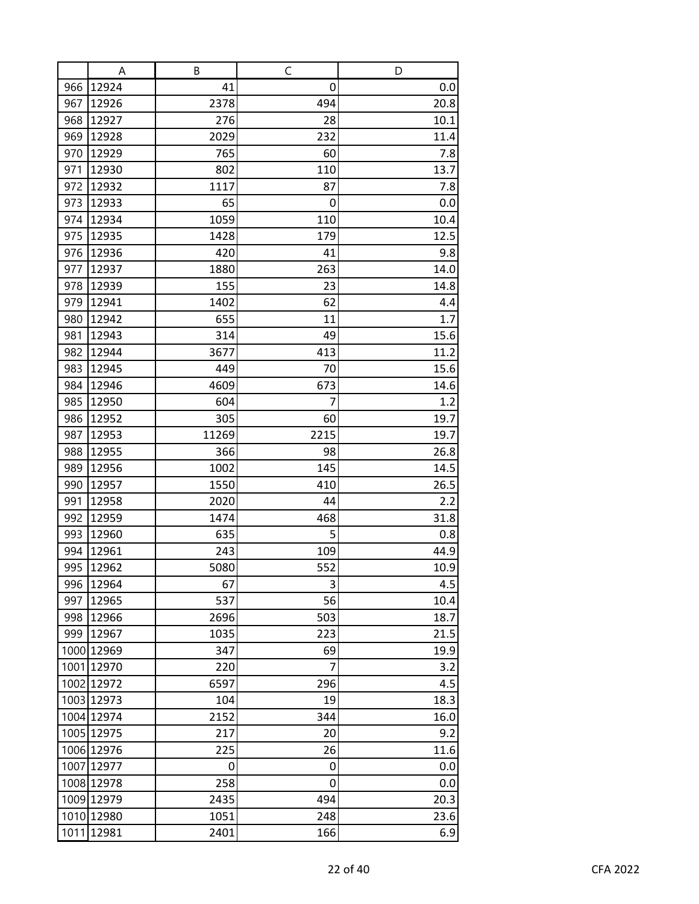|     | A                        | В           | $\mathsf C$    | D    |
|-----|--------------------------|-------------|----------------|------|
| 966 | 12924                    | 41          | 0              | 0.0  |
| 967 | 12926                    | 2378        | 494            | 20.8 |
| 968 | 12927                    | 276         | 28             | 10.1 |
| 969 | 12928                    | 2029        | 232            | 11.4 |
| 970 | 12929                    | 765         | 60             | 7.8  |
| 971 | 12930                    | 802         | 110            | 13.7 |
| 972 | 12932                    | 1117        | 87             | 7.8  |
| 973 | 12933                    | 65          | 0              | 0.0  |
| 974 | 12934                    | 1059        | 110            | 10.4 |
| 975 | 12935                    | 1428        | 179            | 12.5 |
| 976 | 12936                    | 420         | 41             | 9.8  |
| 977 | 12937                    | 1880        | 263            | 14.0 |
| 978 | 12939                    | 155         | 23             | 14.8 |
| 979 | 12941                    | 1402        | 62             | 4.4  |
| 980 | 12942                    | 655         | 11             | 1.7  |
| 981 | 12943                    | 314         | 49             | 15.6 |
| 982 | 12944                    | 3677        | 413            | 11.2 |
| 983 | 12945                    | 449         | 70             | 15.6 |
| 984 | 12946                    | 4609        | 673            | 14.6 |
| 985 | 12950                    | 604         | 7              | 1.2  |
| 986 | 12952                    | 305         | 60             | 19.7 |
| 987 | 12953                    | 11269       | 2215           | 19.7 |
| 988 | 12955                    | 366         | 98             | 26.8 |
| 989 | 12956                    | 1002        | 145            | 14.5 |
| 990 | 12957                    | 1550        | 410            | 26.5 |
| 991 | 12958                    | 2020        | 44             | 2.2  |
| 992 | 12959                    | 1474        | 468            | 31.8 |
| 993 | 12960                    | 635         | 5              | 0.8  |
| 994 | 12961                    | 243         | 109            | 44.9 |
| 995 | 12962                    | 5080        | 552            | 10.9 |
| 996 | 12964                    | 67          | 3              | 4.5  |
| 997 | 12965                    | 537         | 56             | 10.4 |
| 998 | 12966                    | 2696        | 503            | 18.7 |
|     | 999 12967                | 1035        | 223            | 21.5 |
|     | 1000 12969               | 347         | 69             | 19.9 |
|     | 1001 12970               | 220         | $\overline{7}$ | 3.2  |
|     | 1002 12972               | 6597        | 296            | 4.5  |
|     | 1003 12973               | 104         | 19             | 18.3 |
|     | 1004 12974               | 2152        | 344            | 16.0 |
|     | 1005 12975               | 217         | 20             | 9.2  |
|     | 1006 12976               | 225         | 26             | 11.6 |
|     | 1007 12977<br>1008 12978 | 0           | 0<br>0         | 0.0  |
|     | 1009 12979               | 258<br>2435 | 494            | 0.0  |
|     |                          |             |                | 20.3 |
|     | 1010 12980               | 1051        | 248            | 23.6 |
|     | 1011 12981               | 2401        | 166            | 6.9  |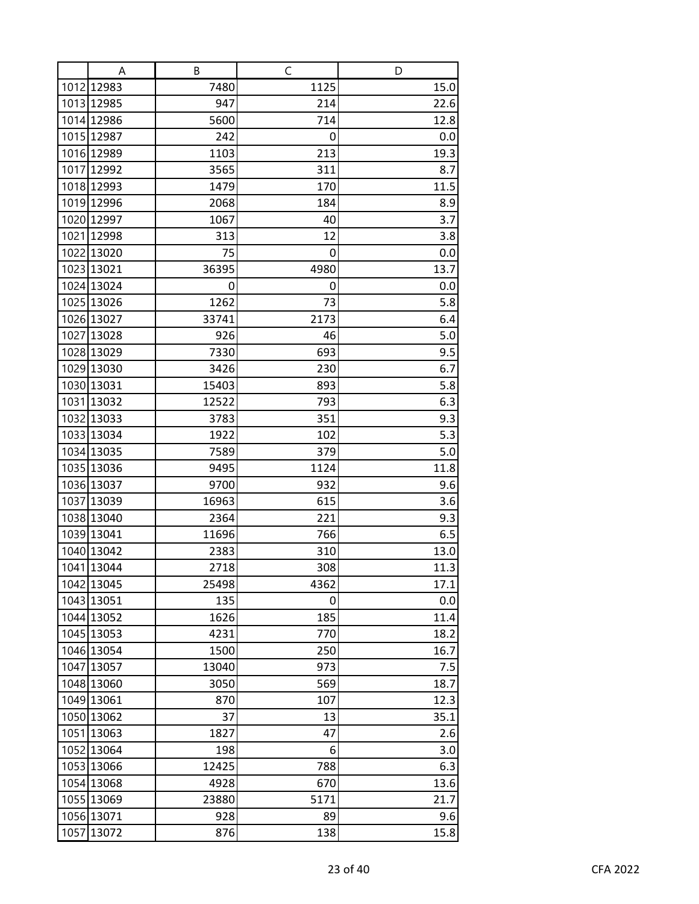| A          | B     | C    | D    |
|------------|-------|------|------|
| 1012 12983 | 7480  | 1125 | 15.0 |
| 1013 12985 | 947   | 214  | 22.6 |
| 1014 12986 | 5600  | 714  | 12.8 |
| 1015 12987 | 242   | 0    | 0.0  |
| 1016 12989 | 1103  | 213  | 19.3 |
| 1017 12992 | 3565  | 311  | 8.7  |
| 1018 12993 | 1479  | 170  | 11.5 |
| 1019 12996 | 2068  | 184  | 8.9  |
| 1020 12997 | 1067  | 40   | 3.7  |
| 1021 12998 | 313   | 12   | 3.8  |
| 1022 13020 | 75    | 0    | 0.0  |
| 1023 13021 | 36395 | 4980 | 13.7 |
| 1024 13024 | 0     | 0    | 0.0  |
| 1025 13026 | 1262  | 73   | 5.8  |
| 1026 13027 | 33741 | 2173 | 6.4  |
| 1027 13028 | 926   | 46   | 5.0  |
| 1028 13029 | 7330  | 693  | 9.5  |
| 1029 13030 | 3426  | 230  | 6.7  |
| 1030 13031 | 15403 | 893  | 5.8  |
| 1031 13032 | 12522 | 793  | 6.3  |
| 1032 13033 | 3783  | 351  | 9.3  |
| 1033 13034 | 1922  | 102  | 5.3  |
| 1034 13035 | 7589  | 379  | 5.0  |
| 1035 13036 | 9495  | 1124 | 11.8 |
| 1036 13037 | 9700  | 932  | 9.6  |
| 1037 13039 | 16963 | 615  | 3.6  |
| 1038 13040 | 2364  | 221  | 9.3  |
| 1039 13041 | 11696 | 766  | 6.5  |
| 1040 13042 | 2383  | 310  | 13.0 |
| 1041 13044 | 2718  | 308  | 11.3 |
| 1042 13045 | 25498 | 4362 | 17.1 |
| 1043 13051 | 135   | 0    | 0.0  |
| 1044 13052 | 1626  | 185  | 11.4 |
| 1045 13053 | 4231  | 770  | 18.2 |
| 1046 13054 | 1500  | 250  | 16.7 |
| 1047 13057 | 13040 | 973  | 7.5  |
| 1048 13060 | 3050  | 569  | 18.7 |
| 1049 13061 | 870   | 107  | 12.3 |
| 1050 13062 | 37    | 13   | 35.1 |
| 1051 13063 | 1827  | 47   | 2.6  |
| 1052 13064 | 198   | 6    | 3.0  |
| 1053 13066 | 12425 | 788  | 6.3  |
| 1054 13068 | 4928  | 670  | 13.6 |
| 1055 13069 | 23880 | 5171 | 21.7 |
| 1056 13071 | 928   | 89   | 9.6  |
| 1057 13072 | 876   | 138  | 15.8 |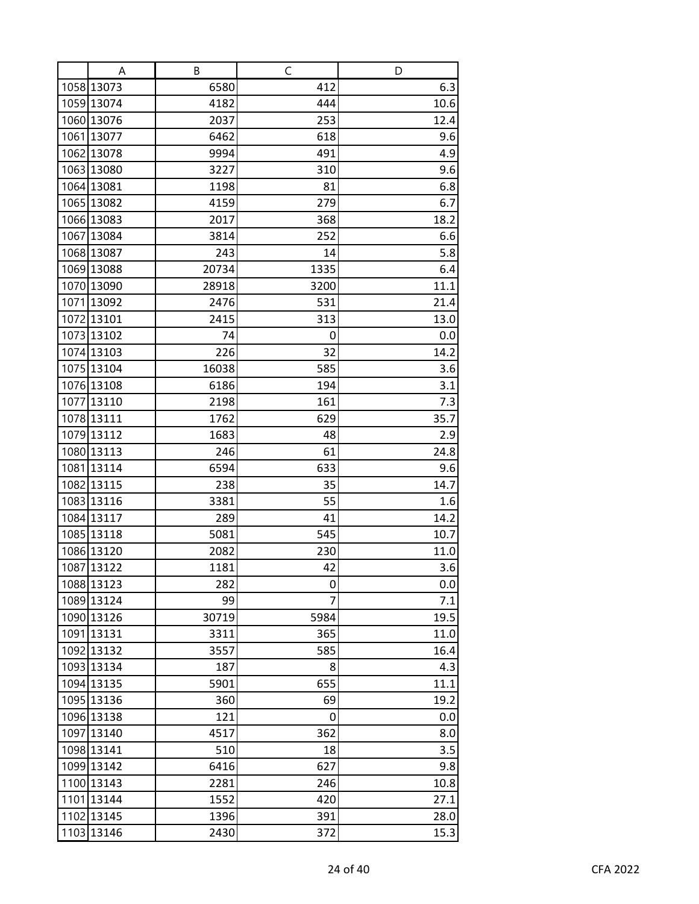| Α                        | В           | C           | D            |
|--------------------------|-------------|-------------|--------------|
| 1058 13073               | 6580        | 412         | 6.3          |
| 1059 13074               | 4182        | 444         | 10.6         |
| 1060 13076               | 2037        | 253         | 12.4         |
| 1061 13077               | 6462        | 618         | 9.6          |
| 1062 13078               | 9994        | 491         | 4.9          |
| 1063 13080               | 3227        | 310         | 9.6          |
| 1064 13081               | 1198        | 81          | 6.8          |
| 1065 13082               | 4159        | 279         | 6.7          |
| 1066 13083               | 2017        | 368         | 18.2         |
| 1067 13084               | 3814        | 252         | 6.6          |
| 1068 13087               | 243         | 14          | 5.8          |
| 1069 13088               | 20734       | 1335        | 6.4          |
| 1070 13090               | 28918       | 3200        | 11.1         |
| 1071 13092               | 2476        | 531         | 21.4         |
| 1072 13101               | 2415        | 313         | 13.0         |
| 1073 13102               | 74          | 0           | 0.0          |
| 1074 13103               | 226         | 32          | 14.2         |
| 1075 13104               | 16038       | 585         | 3.6          |
| 1076 13108               | 6186        | 194         | 3.1          |
| 1077 13110               | 2198        | 161         | 7.3          |
| 1078 13111               | 1762        | 629         | 35.7         |
| 1079 13112               | 1683        | 48          | 2.9          |
| 1080 13113               | 246         | 61          | 24.8         |
| 1081 13114               | 6594        | 633         | 9.6          |
| 1082 13115               | 238         | 35          | 14.7         |
| 1083 13116               | 3381        | 55          | 1.6          |
| 1084 13117               | 289         | 41          | 14.2         |
| 1085 13118               | 5081        | 545         | 10.7         |
| 1086 13120               | 2082        | 230         | 11.0         |
| 1087 13122               | 1181        | 42          | 3.6          |
| 1088 13123               | 282         | 0<br>7      | 0.0          |
| 1089 13124<br>1090 13126 | 99<br>30719 |             | 7.1          |
| 1091 13131               | 3311        | 5984<br>365 | 19.5<br>11.0 |
| 1092 13132               | 3557        | 585         | 16.4         |
| 1093 13134               | 187         | 8           | 4.3          |
| 1094 13135               | 5901        | 655         | 11.1         |
| 1095 13136               | 360         | 69          | 19.2         |
| 1096 13138               | 121         | 0           | 0.0          |
| 1097 13140               | 4517        | 362         | 8.0          |
| 1098 13141               | 510         | 18          | 3.5          |
| 1099 13142               | 6416        | 627         | 9.8          |
| 1100 13143               | 2281        | 246         | 10.8         |
| 1101 13144               | 1552        | 420         | 27.1         |
| 1102 13145               | 1396        | 391         | 28.0         |
| 1103 13146               | 2430        | 372         | 15.3         |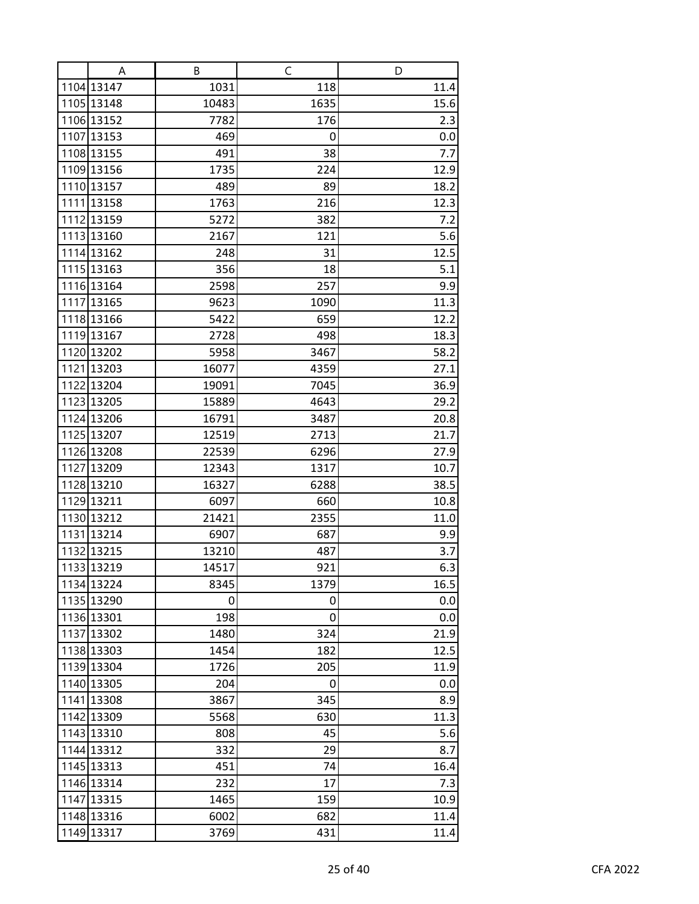| A                        | В              | C            | D            |
|--------------------------|----------------|--------------|--------------|
| 1104 13147               | 1031           | 118          | 11.4         |
| 1105 13148               | 10483          | 1635         | 15.6         |
| 1106 13152               | 7782           | 176          | 2.3          |
| 1107 13153               | 469            | 0            | 0.0          |
| 1108 13155               | 491            | 38           | 7.7          |
| 1109 13156               | 1735           | 224          | 12.9         |
| 1110 13157               | 489            | 89           | 18.2         |
| 1111 13158               | 1763           | 216          | 12.3         |
| 1112 13159               | 5272           | 382          | 7.2          |
| 1113 13160               | 2167           | 121          | 5.6          |
| 1114 13162               | 248            | 31           | 12.5         |
| 1115 13163               | 356            | 18           | 5.1          |
| 1116 13164               | 2598           | 257          | 9.9          |
| 1117 13165               | 9623           | 1090         | 11.3         |
| 1118 13166               | 5422           | 659          | 12.2         |
| 1119 13167               | 2728           | 498          | 18.3         |
| 1120 13202               | 5958           | 3467         | 58.2         |
| 1121 13203               | 16077          | 4359         | 27.1         |
| 1122 13204               | 19091          | 7045         | 36.9         |
| 1123 13205               | 15889          | 4643         | 29.2         |
| 1124 13206<br>1125 13207 | 16791<br>12519 | 3487<br>2713 | 20.8         |
| 1126 13208               |                | 6296         | 21.7<br>27.9 |
| 1127 13209               | 22539<br>12343 | 1317         | 10.7         |
| 1128 13210               | 16327          | 6288         | 38.5         |
| 1129 13211               | 6097           | 660          | 10.8         |
| 1130 13212               | 21421          | 2355         | 11.0         |
| 1131 13214               | 6907           | 687          | 9.9          |
| 1132 13215               | 13210          | 487          | 3.7          |
| 1133 13219               | 14517          | 921          | 6.3          |
| 1134 13224               | 8345           | 1379         | 16.5         |
| 1135 13290               | 0              | 0            | 0.0          |
| 1136 13301               | 198            | 0            | 0.0          |
| 1137 13302               | 1480           | 324          | 21.9         |
| 1138 13303               | 1454           | 182          | 12.5         |
| 1139 13304               | 1726           | 205          | 11.9         |
| 1140 13305               | 204            | 0            | 0.0          |
| 1141 13308               | 3867           | 345          | 8.9          |
| 1142 13309               | 5568           | 630          | 11.3         |
| 1143 13310               | 808            | 45           | 5.6          |
| 1144 13312               | 332            | 29           | 8.7          |
| 1145 13313               | 451            | 74           | 16.4         |
| 1146 13314               | 232            | 17           | 7.3          |
| 1147 13315               | 1465           | 159          | 10.9         |
| 1148 13316               | 6002           | 682          | 11.4         |
| 1149 13317               | 3769           | 431          | 11.4         |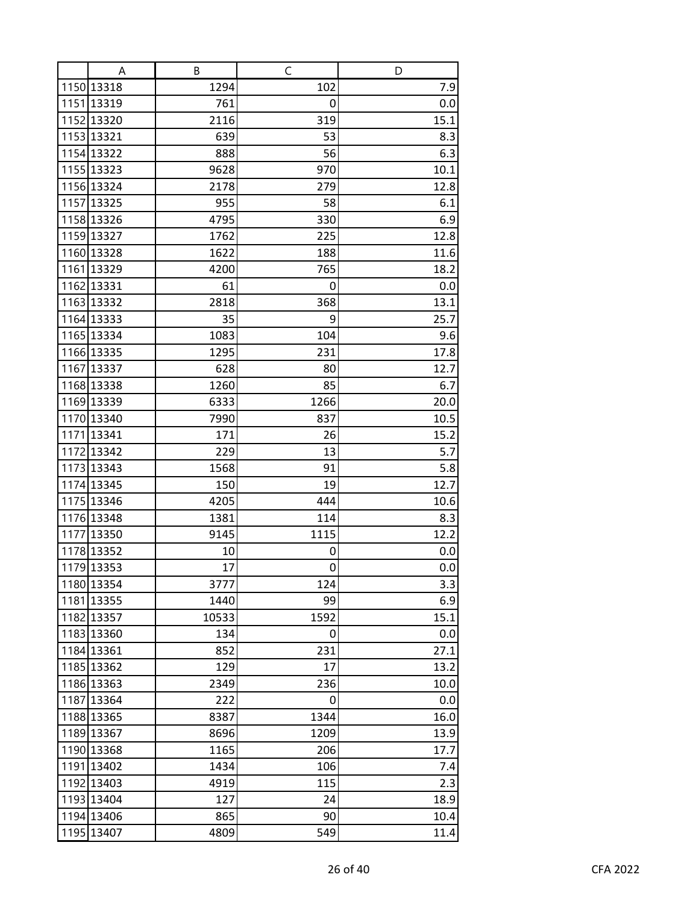| Α                        | В        | C      | D          |
|--------------------------|----------|--------|------------|
| 1150 13318               | 1294     | 102    | 7.9        |
| 1151 13319               | 761      | 0      | 0.0        |
| 1152 13320               | 2116     | 319    | 15.1       |
| 1153 13321               | 639      | 53     | 8.3        |
| 1154 13322               | 888      | 56     | 6.3        |
| 1155 13323               | 9628     | 970    | 10.1       |
| 1156 13324               | 2178     | 279    | 12.8       |
| 1157 13325               | 955      | 58     | 6.1        |
| 1158 13326               | 4795     | 330    | 6.9        |
| 1159 13327               | 1762     | 225    | 12.8       |
| 1160 13328               | 1622     | 188    | 11.6       |
| 1161 13329               | 4200     | 765    | 18.2       |
| 1162 13331               | 61       | 0      | 0.0        |
| 1163 13332               | 2818     | 368    | 13.1       |
| 1164 13333               | 35       | 9      | 25.7       |
| 1165 13334               | 1083     | 104    | 9.6        |
| 1166 13335               | 1295     | 231    | 17.8       |
| 1167 13337               | 628      | 80     | 12.7       |
| 1168 13338               | 1260     | 85     | 6.7        |
| 1169 13339               | 6333     | 1266   | 20.0       |
| 1170 13340               | 7990     | 837    | 10.5       |
| 1171 13341               | 171      | 26     | 15.2       |
| 1172 13342               | 229      | 13     | 5.7        |
| 1173 13343               | 1568     | 91     | 5.8        |
| 1174 13345               | 150      | 19     | 12.7       |
| 1175 13346               | 4205     | 444    | 10.6       |
| 1176 13348               | 1381     | 114    | 8.3        |
| 1177 13350               | 9145     | 1115   | 12.2       |
| 1178 13352<br>1179 13353 | 10<br>17 | 0<br>0 | 0.0        |
| 1180 13354               | 3777     | 124    | 0.0<br>3.3 |
| 1181 13355               | 1440     | 99     | 6.9        |
| 1182 13357               | 10533    | 1592   | 15.1       |
| 1183 13360               | 134      | 0      | 0.0        |
| 1184 13361               | 852      | 231    | 27.1       |
| 1185 13362               | 129      | 17     | 13.2       |
| 1186 13363               | 2349     | 236    | 10.0       |
| 1187 13364               | 222      | 0      | 0.0        |
| 1188 13365               | 8387     | 1344   | 16.0       |
| 1189 13367               | 8696     | 1209   | 13.9       |
| 1190 13368               | 1165     | 206    | 17.7       |
| 1191 13402               | 1434     | 106    | 7.4        |
| 1192 13403               | 4919     | 115    | 2.3        |
| 1193 13404               | 127      | 24     | 18.9       |
| 1194 13406               | 865      | 90     | 10.4       |
| 1195 13407               | 4809     | 549    | 11.4       |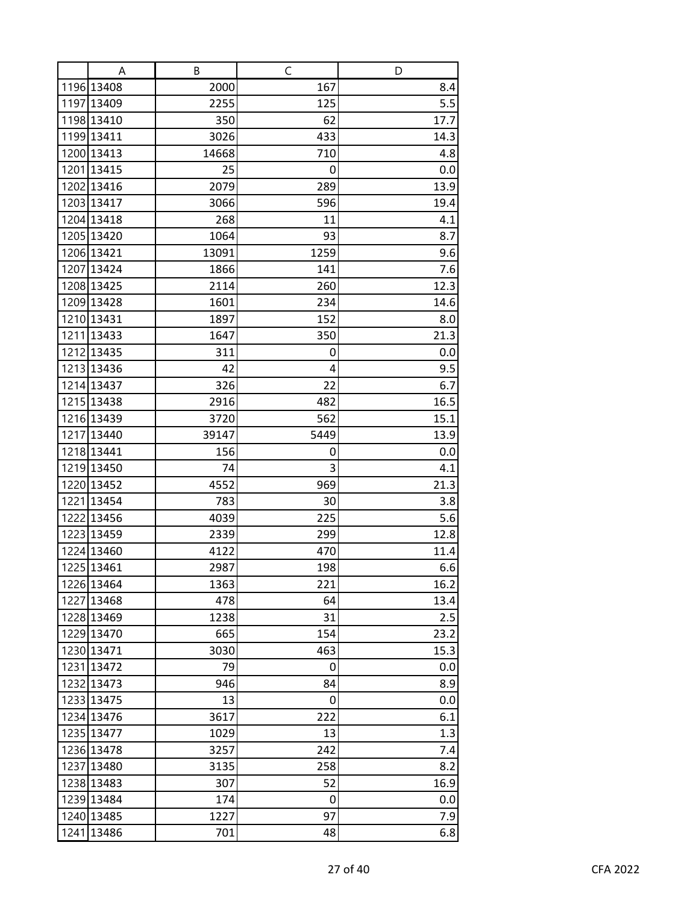| A          | B     | C    | D    |
|------------|-------|------|------|
| 1196 13408 | 2000  | 167  | 8.4  |
| 1197 13409 | 2255  | 125  | 5.5  |
| 1198 13410 | 350   | 62   | 17.7 |
| 1199 13411 | 3026  | 433  | 14.3 |
| 1200 13413 | 14668 | 710  | 4.8  |
| 1201 13415 | 25    | 0    | 0.0  |
| 1202 13416 | 2079  | 289  | 13.9 |
| 1203 13417 | 3066  | 596  | 19.4 |
| 1204 13418 | 268   | 11   | 4.1  |
| 1205 13420 | 1064  | 93   | 8.7  |
| 1206 13421 | 13091 | 1259 | 9.6  |
| 1207 13424 | 1866  | 141  | 7.6  |
| 1208 13425 | 2114  | 260  | 12.3 |
| 1209 13428 | 1601  | 234  | 14.6 |
| 1210 13431 | 1897  | 152  | 8.0  |
| 1211 13433 | 1647  | 350  | 21.3 |
| 1212 13435 | 311   | 0    | 0.0  |
| 1213 13436 | 42    | 4    | 9.5  |
| 1214 13437 | 326   | 22   | 6.7  |
| 1215 13438 | 2916  | 482  | 16.5 |
| 1216 13439 | 3720  | 562  | 15.1 |
| 1217 13440 | 39147 | 5449 | 13.9 |
| 1218 13441 | 156   | 0    | 0.0  |
| 1219 13450 | 74    | 3    | 4.1  |
| 1220 13452 | 4552  | 969  | 21.3 |
| 1221 13454 | 783   | 30   | 3.8  |
| 1222 13456 | 4039  | 225  | 5.6  |
| 1223 13459 | 2339  | 299  | 12.8 |
| 1224 13460 | 4122  | 470  | 11.4 |
| 1225 13461 | 2987  | 198  | 6.6  |
| 1226 13464 | 1363  | 221  | 16.2 |
| 1227 13468 | 478   | 64   | 13.4 |
| 1228 13469 | 1238  | 31   | 2.5  |
| 1229 13470 | 665   | 154  | 23.2 |
| 1230 13471 | 3030  | 463  | 15.3 |
| 1231 13472 | 79    | 0    | 0.0  |
| 1232 13473 | 946   | 84   | 8.9  |
| 1233 13475 | 13    | 0    | 0.0  |
| 1234 13476 | 3617  | 222  | 6.1  |
| 1235 13477 | 1029  | 13   | 1.3  |
| 1236 13478 | 3257  | 242  | 7.4  |
| 1237 13480 | 3135  | 258  | 8.2  |
| 1238 13483 | 307   | 52   | 16.9 |
| 1239 13484 | 174   | 0    | 0.0  |
| 1240 13485 | 1227  | 97   | 7.9  |
| 1241 13486 | 701   | 48   | 6.8  |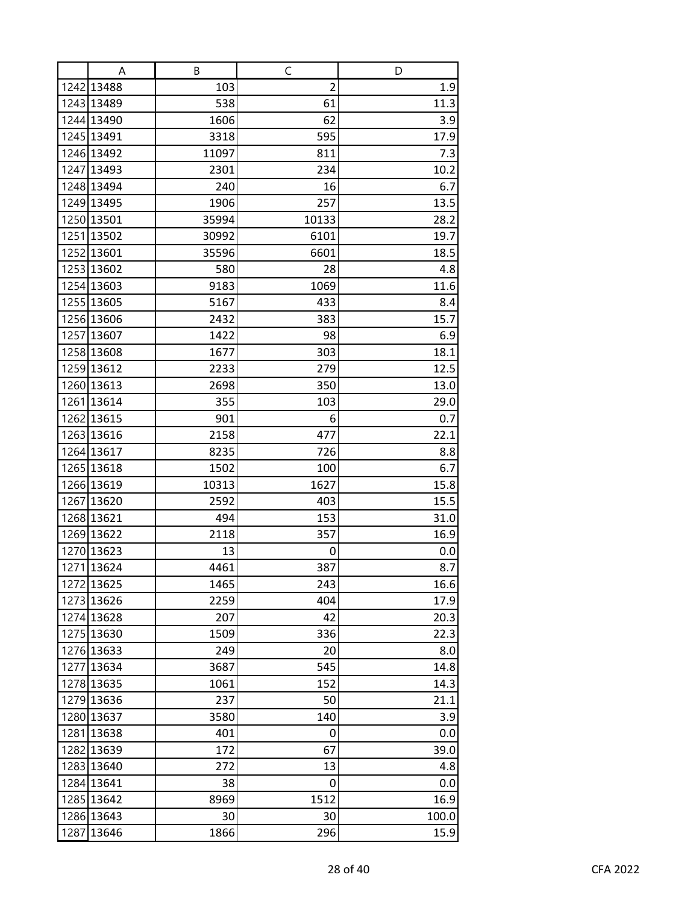| A          | В     | C              | D     |
|------------|-------|----------------|-------|
| 1242 13488 | 103   | $\overline{2}$ | 1.9   |
| 1243 13489 | 538   | 61             | 11.3  |
| 1244 13490 | 1606  | 62             | 3.9   |
| 1245 13491 | 3318  | 595            | 17.9  |
| 1246 13492 | 11097 | 811            | 7.3   |
| 1247 13493 | 2301  | 234            | 10.2  |
| 1248 13494 | 240   | 16             | 6.7   |
| 1249 13495 | 1906  | 257            | 13.5  |
| 1250 13501 | 35994 | 10133          | 28.2  |
| 1251 13502 | 30992 | 6101           | 19.7  |
| 1252 13601 | 35596 | 6601           | 18.5  |
| 1253 13602 | 580   | 28             | 4.8   |
| 1254 13603 | 9183  | 1069           | 11.6  |
| 1255 13605 | 5167  | 433            | 8.4   |
| 1256 13606 | 2432  | 383            | 15.7  |
| 1257 13607 | 1422  | 98             | 6.9   |
| 1258 13608 | 1677  | 303            | 18.1  |
| 1259 13612 | 2233  | 279            | 12.5  |
| 1260 13613 | 2698  | 350            | 13.0  |
| 1261 13614 | 355   | 103            | 29.0  |
| 1262 13615 | 901   | 6              | 0.7   |
| 1263 13616 | 2158  | 477            | 22.1  |
| 1264 13617 | 8235  | 726            | 8.8   |
| 1265 13618 | 1502  | 100            | 6.7   |
| 1266 13619 | 10313 | 1627           | 15.8  |
| 1267 13620 | 2592  | 403            | 15.5  |
| 1268 13621 | 494   | 153            | 31.0  |
| 1269 13622 | 2118  | 357            | 16.9  |
| 1270 13623 | 13    | 0              | 0.0   |
| 1271 13624 | 4461  | 387            | 8.7   |
| 1272 13625 | 1465  | 243            | 16.6  |
| 1273 13626 | 2259  | 404            | 17.9  |
| 1274 13628 | 207   | 42             | 20.3  |
| 1275 13630 | 1509  | 336            | 22.3  |
| 1276 13633 | 249   | 20             | 8.0   |
| 1277 13634 | 3687  | 545            | 14.8  |
| 1278 13635 | 1061  | 152            | 14.3  |
| 1279 13636 | 237   | 50             | 21.1  |
| 1280 13637 | 3580  | 140            | 3.9   |
| 1281 13638 | 401   | 0              | 0.0   |
| 1282 13639 | 172   | 67             | 39.0  |
| 1283 13640 | 272   | 13             | 4.8   |
| 1284 13641 | 38    | 0              | 0.0   |
| 1285 13642 | 8969  | 1512           | 16.9  |
| 1286 13643 | 30    | 30             | 100.0 |
| 1287 13646 | 1866  | 296            | 15.9  |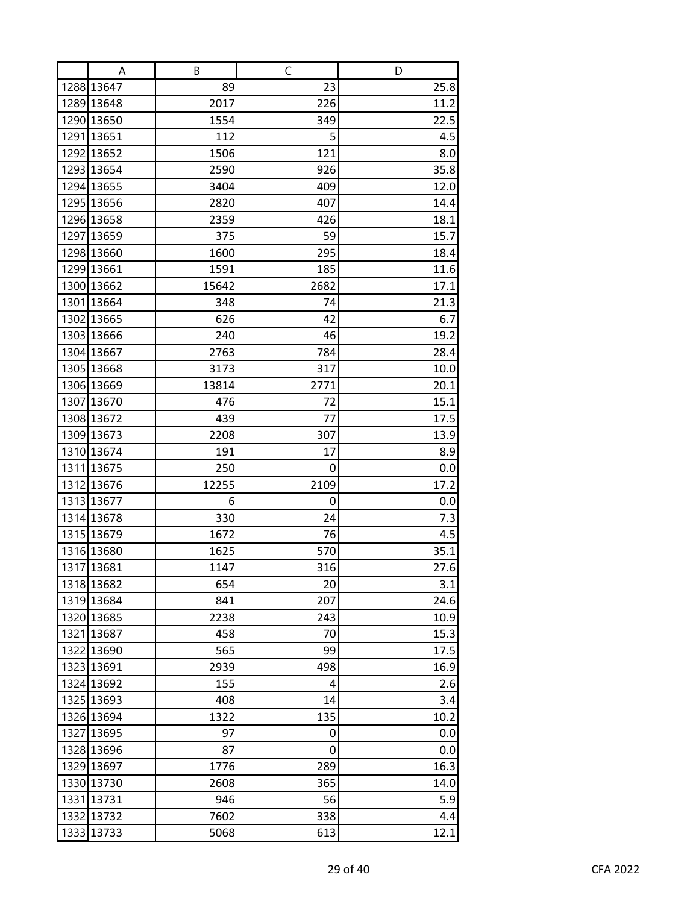| A                        | В           | C         | D           |
|--------------------------|-------------|-----------|-------------|
| 1288 13647               | 89          | 23        | 25.8        |
| 1289 13648               | 2017        | 226       | 11.2        |
| 1290 13650               | 1554        | 349       | 22.5        |
| 1291 13651               | 112         | 5         | 4.5         |
| 1292 13652               | 1506        | 121       | 8.0         |
| 1293 13654               | 2590        | 926       | 35.8        |
| 1294 13655               | 3404        | 409       | 12.0        |
| 1295 13656               | 2820        | 407       | 14.4        |
| 1296 13658               | 2359        | 426       | 18.1        |
| 1297 13659               | 375         | 59        | 15.7        |
| 1298 13660               | 1600        | 295       | 18.4        |
| 1299 13661               | 1591        | 185       | 11.6        |
| 1300 13662               | 15642       | 2682      | 17.1        |
| 1301 13664               | 348         | 74        | 21.3        |
| 1302 13665               | 626         | 42        | 6.7         |
| 1303 13666               | 240         | 46        | 19.2        |
| 1304 13667               | 2763        | 784       | 28.4        |
| 1305 13668               | 3173        | 317       | 10.0        |
| 1306 13669               | 13814       | 2771      | 20.1        |
| 1307 13670               | 476         | 72        | 15.1        |
| 1308 13672               | 439<br>2208 | 77        | 17.5        |
| 1309 13673<br>1310 13674 | 191         | 307<br>17 | 13.9<br>8.9 |
| 1311 13675               | 250         | 0         | 0.0         |
| 1312 13676               | 12255       | 2109      | 17.2        |
| 1313 13677               | 6           | 0         | 0.0         |
| 1314 13678               | 330         | 24        | 7.3         |
| 1315 13679               | 1672        | 76        | 4.5         |
| 1316 13680               | 1625        | 570       | 35.1        |
| 1317 13681               | 1147        | 316       | 27.6        |
| 1318 13682               | 654         | 20        | 3.1         |
| 1319 13684               | 841         | 207       | 24.6        |
| 1320 13685               | 2238        | 243       | 10.9        |
| 1321 13687               | 458         | 70        | 15.3        |
| 1322 13690               | 565         | 99        | 17.5        |
| 1323 13691               | 2939        | 498       | 16.9        |
| 1324 13692               | 155         | 4         | 2.6         |
| 1325 13693               | 408         | 14        | 3.4         |
| 1326 13694               | 1322        | 135       | 10.2        |
| 1327 13695               | 97          | 0         | 0.0         |
| 1328 13696               | 87          | 0         | 0.0         |
| 1329 13697               | 1776        | 289       | 16.3        |
| 1330 13730               | 2608        | 365       | 14.0        |
| 1331 13731               | 946         | 56        | 5.9         |
| 1332 13732               | 7602        | 338       | 4.4         |
| 1333 13733               | 5068        | 613       | 12.1        |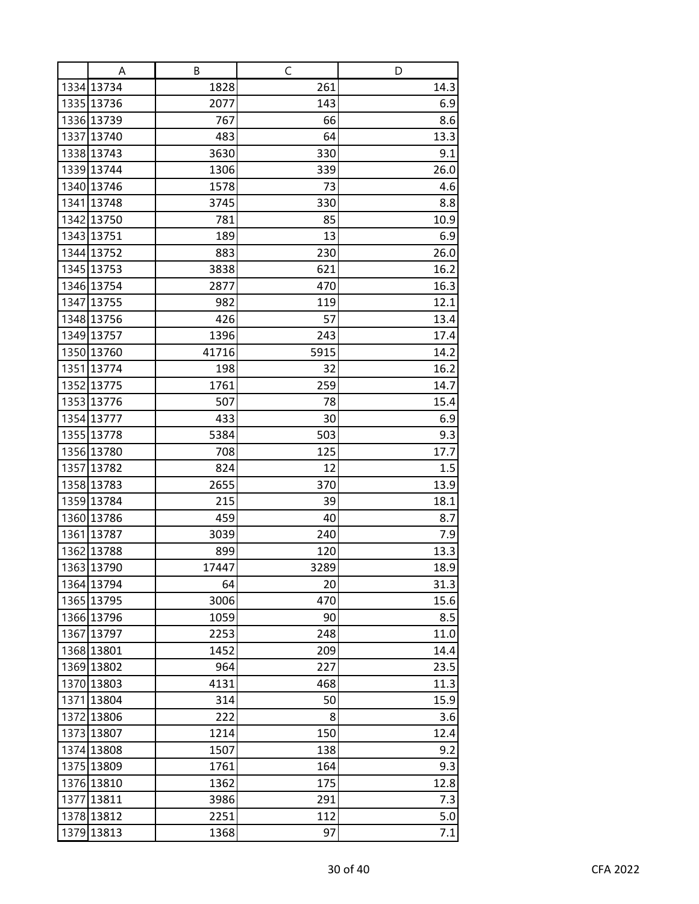| A          | В     | C    | D    |
|------------|-------|------|------|
| 1334 13734 | 1828  | 261  | 14.3 |
| 1335 13736 | 2077  | 143  | 6.9  |
| 1336 13739 | 767   | 66   | 8.6  |
| 1337 13740 | 483   | 64   | 13.3 |
| 1338 13743 | 3630  | 330  | 9.1  |
| 1339 13744 | 1306  | 339  | 26.0 |
| 1340 13746 | 1578  | 73   | 4.6  |
| 1341 13748 | 3745  | 330  | 8.8  |
| 1342 13750 | 781   | 85   | 10.9 |
| 1343 13751 | 189   | 13   | 6.9  |
| 1344 13752 | 883   | 230  | 26.0 |
| 1345 13753 | 3838  | 621  | 16.2 |
| 1346 13754 | 2877  | 470  | 16.3 |
| 1347 13755 | 982   | 119  | 12.1 |
| 1348 13756 | 426   | 57   | 13.4 |
| 1349 13757 | 1396  | 243  | 17.4 |
| 1350 13760 | 41716 | 5915 | 14.2 |
| 1351 13774 | 198   | 32   | 16.2 |
| 1352 13775 | 1761  | 259  | 14.7 |
| 1353 13776 | 507   | 78   | 15.4 |
| 1354 13777 | 433   | 30   | 6.9  |
| 1355 13778 | 5384  | 503  | 9.3  |
| 1356 13780 | 708   | 125  | 17.7 |
| 1357 13782 | 824   | 12   | 1.5  |
| 1358 13783 | 2655  | 370  | 13.9 |
| 1359 13784 | 215   | 39   | 18.1 |
| 1360 13786 | 459   | 40   | 8.7  |
| 1361 13787 | 3039  | 240  | 7.9  |
| 1362 13788 | 899   | 120  | 13.3 |
| 1363 13790 | 17447 | 3289 | 18.9 |
| 1364 13794 | 64    | 20   | 31.3 |
| 1365 13795 | 3006  | 470  | 15.6 |
| 1366 13796 | 1059  | 90   | 8.5  |
| 1367 13797 | 2253  | 248  | 11.0 |
| 1368 13801 | 1452  | 209  | 14.4 |
| 1369 13802 | 964   | 227  | 23.5 |
| 1370 13803 | 4131  | 468  | 11.3 |
| 1371 13804 | 314   | 50   | 15.9 |
| 1372 13806 | 222   | 8    | 3.6  |
| 1373 13807 | 1214  | 150  | 12.4 |
| 1374 13808 | 1507  | 138  | 9.2  |
| 1375 13809 | 1761  | 164  | 9.3  |
| 1376 13810 | 1362  | 175  | 12.8 |
| 1377 13811 | 3986  | 291  | 7.3  |
| 1378 13812 | 2251  | 112  | 5.0  |
| 1379 13813 | 1368  | 97   | 7.1  |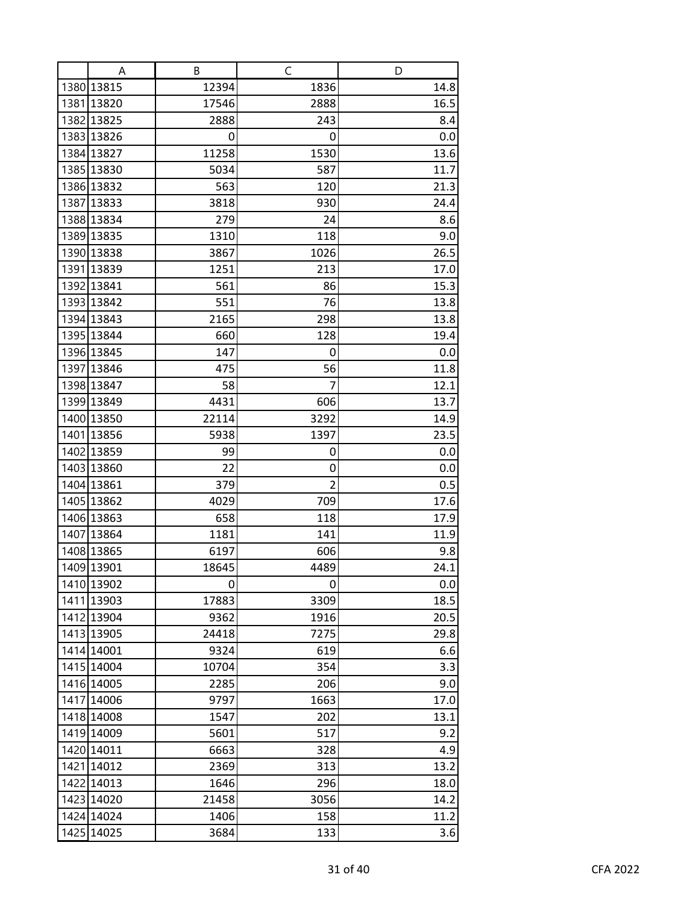| A          | В     | C              | D    |
|------------|-------|----------------|------|
| 1380 13815 | 12394 | 1836           | 14.8 |
| 1381 13820 | 17546 | 2888           | 16.5 |
| 1382 13825 | 2888  | 243            | 8.4  |
| 1383 13826 | 0     | 0              | 0.0  |
| 1384 13827 | 11258 | 1530           | 13.6 |
| 1385 13830 | 5034  | 587            | 11.7 |
| 1386 13832 | 563   | 120            | 21.3 |
| 1387 13833 | 3818  | 930            | 24.4 |
| 1388 13834 | 279   | 24             | 8.6  |
| 1389 13835 | 1310  | 118            | 9.0  |
| 1390 13838 | 3867  | 1026           | 26.5 |
| 1391 13839 | 1251  | 213            | 17.0 |
| 1392 13841 | 561   | 86             | 15.3 |
| 1393 13842 | 551   | 76             | 13.8 |
| 1394 13843 | 2165  | 298            | 13.8 |
| 1395 13844 | 660   | 128            | 19.4 |
| 1396 13845 | 147   | 0              | 0.0  |
| 1397 13846 | 475   | 56             | 11.8 |
| 1398 13847 | 58    | 7              | 12.1 |
| 1399 13849 | 4431  | 606            | 13.7 |
| 1400 13850 | 22114 | 3292           | 14.9 |
| 1401 13856 | 5938  | 1397           | 23.5 |
| 1402 13859 | 99    | 0              | 0.0  |
| 1403 13860 | 22    | 0              | 0.0  |
| 1404 13861 | 379   | $\overline{2}$ | 0.5  |
| 1405 13862 | 4029  | 709            | 17.6 |
| 1406 13863 | 658   | 118            | 17.9 |
| 1407 13864 | 1181  | 141            | 11.9 |
| 1408 13865 | 6197  | 606            | 9.8  |
| 1409 13901 | 18645 | 4489           | 24.1 |
| 1410 13902 | 0     | 0              | 0.0  |
| 1411 13903 | 17883 | 3309           | 18.5 |
| 1412 13904 | 9362  | 1916           | 20.5 |
| 1413 13905 | 24418 | 7275           | 29.8 |
| 1414 14001 | 9324  | 619            | 6.6  |
| 1415 14004 | 10704 | 354            | 3.3  |
| 1416 14005 | 2285  | 206            | 9.0  |
| 1417 14006 | 9797  | 1663           | 17.0 |
| 1418 14008 | 1547  | 202            | 13.1 |
| 1419 14009 | 5601  | 517            | 9.2  |
| 1420 14011 | 6663  | 328            | 4.9  |
| 1421 14012 | 2369  | 313            | 13.2 |
| 1422 14013 | 1646  | 296            | 18.0 |
| 1423 14020 | 21458 | 3056           | 14.2 |
| 1424 14024 | 1406  | 158            | 11.2 |
| 1425 14025 | 3684  | 133            | 3.6  |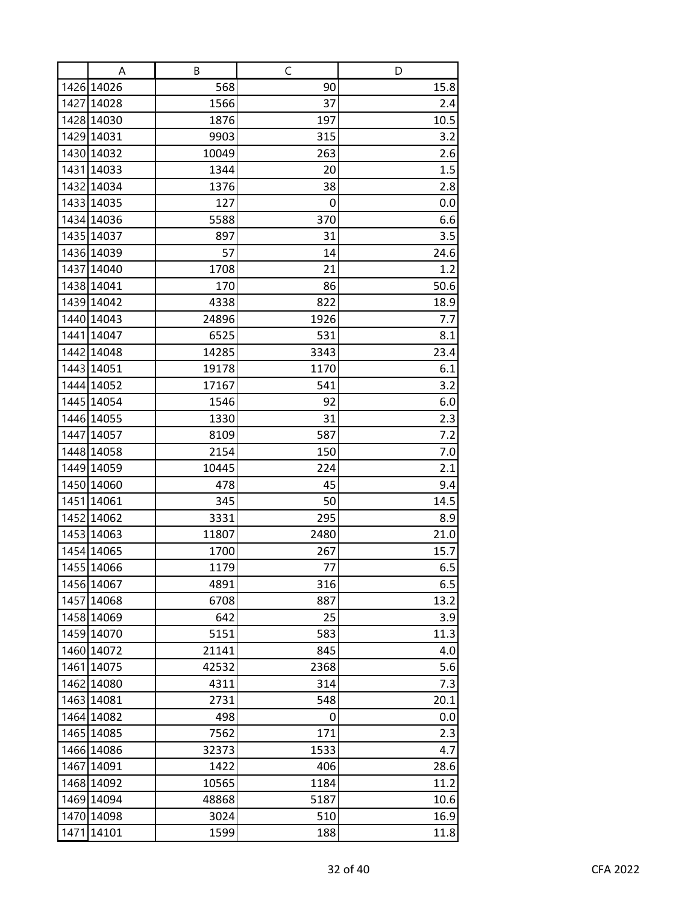| Α          | В     | C    | D    |
|------------|-------|------|------|
| 1426 14026 | 568   | 90   | 15.8 |
| 1427 14028 | 1566  | 37   | 2.4  |
| 1428 14030 | 1876  | 197  | 10.5 |
| 1429 14031 | 9903  | 315  | 3.2  |
| 1430 14032 | 10049 | 263  | 2.6  |
| 1431 14033 | 1344  | 20   | 1.5  |
| 1432 14034 | 1376  | 38   | 2.8  |
| 1433 14035 | 127   | 0    | 0.0  |
| 1434 14036 | 5588  | 370  | 6.6  |
| 1435 14037 | 897   | 31   | 3.5  |
| 1436 14039 | 57    | 14   | 24.6 |
| 1437 14040 | 1708  | 21   | 1.2  |
| 1438 14041 | 170   | 86   | 50.6 |
| 1439 14042 | 4338  | 822  | 18.9 |
| 1440 14043 | 24896 | 1926 | 7.7  |
| 1441 14047 | 6525  | 531  | 8.1  |
| 1442 14048 | 14285 | 3343 | 23.4 |
| 1443 14051 | 19178 | 1170 | 6.1  |
| 1444 14052 | 17167 | 541  | 3.2  |
| 1445 14054 | 1546  | 92   | 6.0  |
| 1446 14055 | 1330  | 31   | 2.3  |
| 1447 14057 | 8109  | 587  | 7.2  |
| 1448 14058 | 2154  | 150  | 7.0  |
| 1449 14059 | 10445 | 224  | 2.1  |
| 1450 14060 | 478   | 45   | 9.4  |
| 1451 14061 | 345   | 50   | 14.5 |
| 1452 14062 | 3331  | 295  | 8.9  |
| 1453 14063 | 11807 | 2480 | 21.0 |
| 1454 14065 | 1700  | 267  | 15.7 |
| 1455 14066 | 1179  | 77   | 6.5  |
| 1456 14067 | 4891  | 316  | 6.5  |
| 1457 14068 | 6708  | 887  | 13.2 |
| 1458 14069 | 642   | 25   | 3.9  |
| 1459 14070 | 5151  | 583  | 11.3 |
| 1460 14072 | 21141 | 845  | 4.0  |
| 1461 14075 | 42532 | 2368 | 5.6  |
| 1462 14080 | 4311  | 314  | 7.3  |
| 1463 14081 | 2731  | 548  | 20.1 |
| 1464 14082 | 498   | 0    | 0.0  |
| 1465 14085 | 7562  | 171  | 2.3  |
| 1466 14086 | 32373 | 1533 | 4.7  |
| 1467 14091 | 1422  | 406  | 28.6 |
| 1468 14092 | 10565 | 1184 | 11.2 |
| 1469 14094 | 48868 | 5187 | 10.6 |
| 1470 14098 | 3024  | 510  | 16.9 |
| 1471 14101 | 1599  | 188  | 11.8 |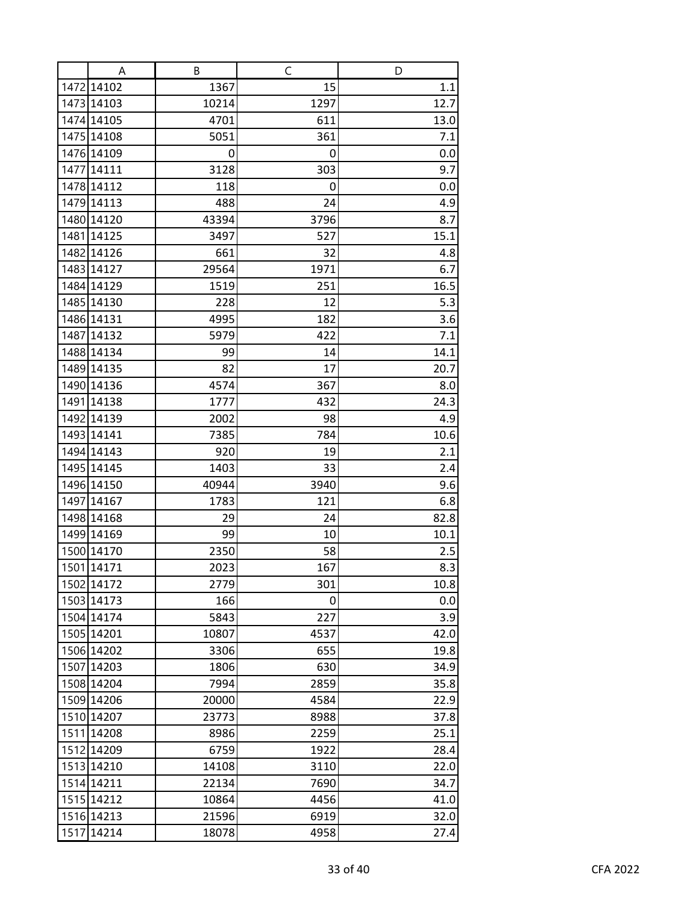| Α          | В     | C    | D    |
|------------|-------|------|------|
| 1472 14102 | 1367  | 15   | 1.1  |
| 1473 14103 | 10214 | 1297 | 12.7 |
| 1474 14105 | 4701  | 611  | 13.0 |
| 1475 14108 | 5051  | 361  | 7.1  |
| 1476 14109 | 0     | 0    | 0.0  |
| 1477 14111 | 3128  | 303  | 9.7  |
| 1478 14112 | 118   | 0    | 0.0  |
| 1479 14113 | 488   | 24   | 4.9  |
| 1480 14120 | 43394 | 3796 | 8.7  |
| 1481 14125 | 3497  | 527  | 15.1 |
| 1482 14126 | 661   | 32   | 4.8  |
| 1483 14127 | 29564 | 1971 | 6.7  |
| 1484 14129 | 1519  | 251  | 16.5 |
| 1485 14130 | 228   | 12   | 5.3  |
| 1486 14131 | 4995  | 182  | 3.6  |
| 1487 14132 | 5979  | 422  | 7.1  |
| 1488 14134 | 99    | 14   | 14.1 |
| 1489 14135 | 82    | 17   | 20.7 |
| 1490 14136 | 4574  | 367  | 8.0  |
| 1491 14138 | 1777  | 432  | 24.3 |
| 1492 14139 | 2002  | 98   | 4.9  |
| 1493 14141 | 7385  | 784  | 10.6 |
| 1494 14143 | 920   | 19   | 2.1  |
| 1495 14145 | 1403  | 33   | 2.4  |
| 1496 14150 | 40944 | 3940 | 9.6  |
| 1497 14167 | 1783  | 121  | 6.8  |
| 1498 14168 | 29    | 24   | 82.8 |
| 1499 14169 | 99    | 10   | 10.1 |
| 1500 14170 | 2350  | 58   | 2.5  |
| 1501 14171 | 2023  | 167  | 8.3  |
| 1502 14172 | 2779  | 301  | 10.8 |
| 1503 14173 | 166   | 0    | 0.0  |
| 1504 14174 | 5843  | 227  | 3.9  |
| 1505 14201 | 10807 | 4537 | 42.0 |
| 1506 14202 | 3306  | 655  | 19.8 |
| 1507 14203 | 1806  | 630  | 34.9 |
| 1508 14204 | 7994  | 2859 | 35.8 |
| 1509 14206 | 20000 | 4584 | 22.9 |
| 1510 14207 | 23773 | 8988 | 37.8 |
| 1511 14208 | 8986  | 2259 | 25.1 |
| 1512 14209 | 6759  | 1922 | 28.4 |
| 1513 14210 | 14108 | 3110 | 22.0 |
| 1514 14211 | 22134 | 7690 | 34.7 |
| 1515 14212 | 10864 | 4456 | 41.0 |
| 1516 14213 | 21596 | 6919 | 32.0 |
| 1517 14214 | 18078 | 4958 | 27.4 |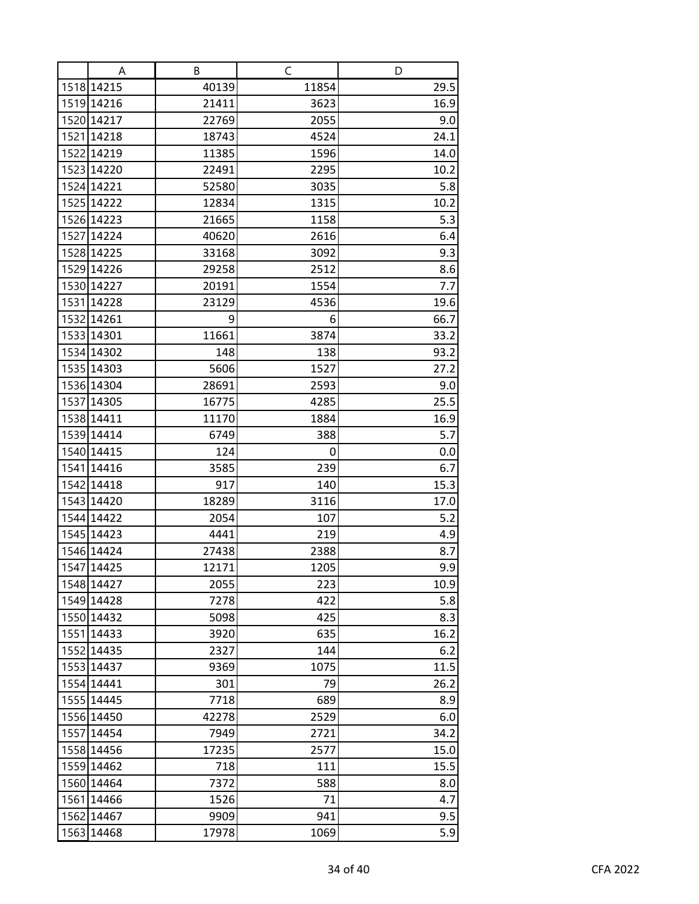| A                        | В           | C          | D          |
|--------------------------|-------------|------------|------------|
| 1518 14215               | 40139       | 11854      | 29.5       |
| 1519 14216               | 21411       | 3623       | 16.9       |
| 1520 14217               | 22769       | 2055       | 9.0        |
| 1521 14218               | 18743       | 4524       | 24.1       |
| 1522 14219               | 11385       | 1596       | 14.0       |
| 1523 14220               | 22491       | 2295       | 10.2       |
| 1524 14221               | 52580       | 3035       | 5.8        |
| 1525 14222               | 12834       | 1315       | 10.2       |
| 1526 14223               | 21665       | 1158       | 5.3        |
| 1527 14224               | 40620       | 2616       | 6.4        |
| 1528 14225               | 33168       | 3092       | 9.3        |
| 1529 14226               | 29258       | 2512       | 8.6        |
| 1530 14227               | 20191       | 1554       | 7.7        |
| 1531 14228               | 23129       | 4536       | 19.6       |
| 1532 14261               | 9           | 6          | 66.7       |
| 1533 14301               | 11661       | 3874       | 33.2       |
| 1534 14302               | 148         | 138        | 93.2       |
| 1535 14303               | 5606        | 1527       | 27.2       |
| 1536 14304               | 28691       | 2593       | 9.0        |
| 1537 14305               | 16775       | 4285       | 25.5       |
| 1538 14411               | 11170       | 1884       | 16.9       |
| 1539 14414               | 6749        | 388        | 5.7        |
| 1540 14415<br>1541 14416 | 124<br>3585 | 0          | 0.0<br>6.7 |
| 1542 14418               | 917         | 239<br>140 | 15.3       |
| 1543 14420               | 18289       | 3116       | 17.0       |
| 1544 14422               | 2054        | 107        | 5.2        |
| 1545 14423               | 4441        | 219        | 4.9        |
| 1546 14424               | 27438       | 2388       | 8.7        |
| 1547 14425               | 12171       | 1205       | 9.9        |
| 1548 14427               | 2055        | 223        | 10.9       |
| 1549 14428               | 7278        | 422        | 5.8        |
| 1550 14432               | 5098        | 425        | 8.3        |
| 1551 14433               | 3920        | 635        | 16.2       |
| 1552 14435               | 2327        | 144        | 6.2        |
| 1553 14437               | 9369        | 1075       | 11.5       |
| 1554 14441               | 301         | 79         | 26.2       |
| 1555 14445               | 7718        | 689        | 8.9        |
| 1556 14450               | 42278       | 2529       | 6.0        |
| 1557 14454               | 7949        | 2721       | 34.2       |
| 1558 14456               | 17235       | 2577       | 15.0       |
| 1559 14462               | 718         | 111        | 15.5       |
| 1560 14464               | 7372        | 588        | 8.0        |
| 1561 14466               | 1526        | 71         | 4.7        |
| 1562 14467               | 9909        | 941        | 9.5        |
| 1563 14468               | 17978       | 1069       | 5.9        |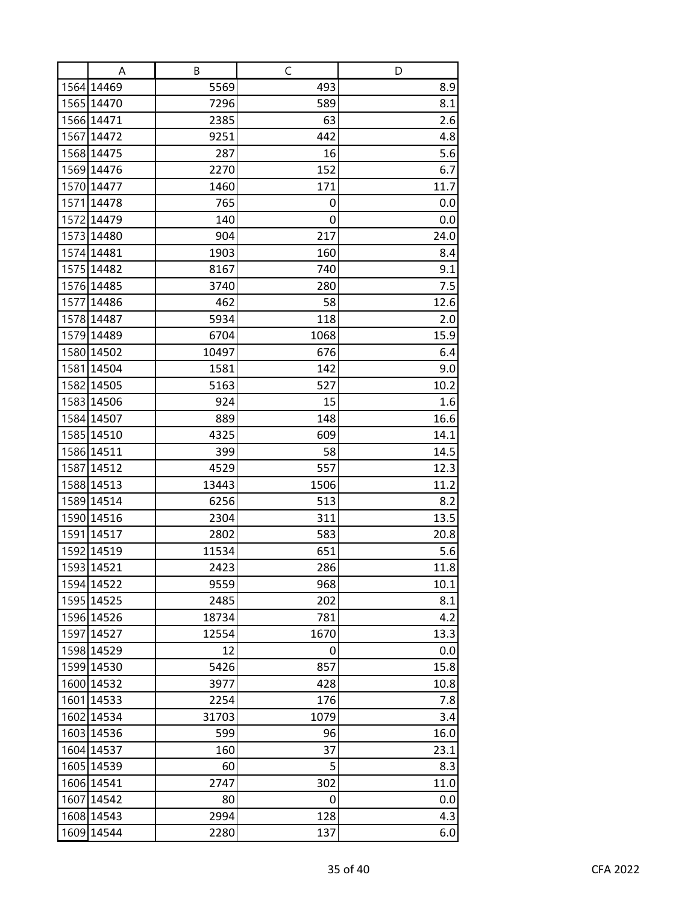| A          | В     | C    | D    |
|------------|-------|------|------|
| 1564 14469 | 5569  | 493  | 8.9  |
| 1565 14470 | 7296  | 589  | 8.1  |
| 1566 14471 | 2385  | 63   | 2.6  |
| 1567 14472 | 9251  | 442  | 4.8  |
| 1568 14475 | 287   | 16   | 5.6  |
| 1569 14476 | 2270  | 152  | 6.7  |
| 1570 14477 | 1460  | 171  | 11.7 |
| 1571 14478 | 765   | 0    | 0.0  |
| 1572 14479 | 140   | 0    | 0.0  |
| 1573 14480 | 904   | 217  | 24.0 |
| 1574 14481 | 1903  | 160  | 8.4  |
| 1575 14482 | 8167  | 740  | 9.1  |
| 1576 14485 | 3740  | 280  | 7.5  |
| 1577 14486 | 462   | 58   | 12.6 |
| 1578 14487 | 5934  | 118  | 2.0  |
| 1579 14489 | 6704  | 1068 | 15.9 |
| 1580 14502 | 10497 | 676  | 6.4  |
| 1581 14504 | 1581  | 142  | 9.0  |
| 1582 14505 | 5163  | 527  | 10.2 |
| 1583 14506 | 924   | 15   | 1.6  |
| 1584 14507 | 889   | 148  | 16.6 |
| 1585 14510 | 4325  | 609  | 14.1 |
| 1586 14511 | 399   | 58   | 14.5 |
| 1587 14512 | 4529  | 557  | 12.3 |
| 1588 14513 | 13443 | 1506 | 11.2 |
| 1589 14514 | 6256  | 513  | 8.2  |
| 1590 14516 | 2304  | 311  | 13.5 |
| 1591 14517 | 2802  | 583  | 20.8 |
| 1592 14519 | 11534 | 651  | 5.6  |
| 1593 14521 | 2423  | 286  | 11.8 |
| 1594 14522 | 9559  | 968  | 10.1 |
| 1595 14525 | 2485  | 202  | 8.1  |
| 1596 14526 | 18734 | 781  | 4.2  |
| 1597 14527 | 12554 | 1670 | 13.3 |
| 1598 14529 | 12    | 0    | 0.0  |
| 1599 14530 | 5426  | 857  | 15.8 |
| 1600 14532 | 3977  | 428  | 10.8 |
| 1601 14533 | 2254  | 176  | 7.8  |
| 1602 14534 | 31703 | 1079 | 3.4  |
| 1603 14536 | 599   | 96   | 16.0 |
| 1604 14537 | 160   | 37   | 23.1 |
| 1605 14539 | 60    | 5    | 8.3  |
| 1606 14541 | 2747  | 302  | 11.0 |
| 1607 14542 | 80    | 0    | 0.0  |
| 1608 14543 | 2994  | 128  | 4.3  |
| 1609 14544 | 2280  | 137  | 6.0  |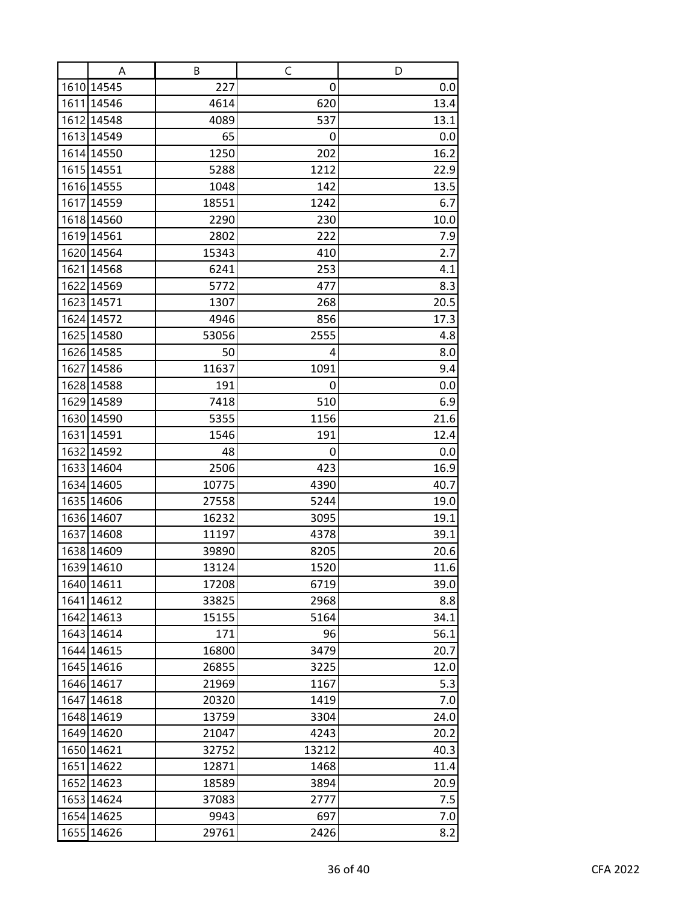| A          | В     | C     | D    |
|------------|-------|-------|------|
| 1610 14545 | 227   | 0     | 0.0  |
| 1611 14546 | 4614  | 620   | 13.4 |
| 1612 14548 | 4089  | 537   | 13.1 |
| 1613 14549 | 65    | 0     | 0.0  |
| 1614 14550 | 1250  | 202   | 16.2 |
| 1615 14551 | 5288  | 1212  | 22.9 |
| 1616 14555 | 1048  | 142   | 13.5 |
| 1617 14559 | 18551 | 1242  | 6.7  |
| 1618 14560 | 2290  | 230   | 10.0 |
| 1619 14561 | 2802  | 222   | 7.9  |
| 1620 14564 | 15343 | 410   | 2.7  |
| 1621 14568 | 6241  | 253   | 4.1  |
| 1622 14569 | 5772  | 477   | 8.3  |
| 1623 14571 | 1307  | 268   | 20.5 |
| 1624 14572 | 4946  | 856   | 17.3 |
| 1625 14580 | 53056 | 2555  | 4.8  |
| 1626 14585 | 50    | 4     | 8.0  |
| 1627 14586 | 11637 | 1091  | 9.4  |
| 1628 14588 | 191   | 0     | 0.0  |
| 1629 14589 | 7418  | 510   | 6.9  |
| 1630 14590 | 5355  | 1156  | 21.6 |
| 1631 14591 | 1546  | 191   | 12.4 |
| 1632 14592 | 48    | 0     | 0.0  |
| 1633 14604 | 2506  | 423   | 16.9 |
| 1634 14605 | 10775 | 4390  | 40.7 |
| 1635 14606 | 27558 | 5244  | 19.0 |
| 1636 14607 | 16232 | 3095  | 19.1 |
| 1637 14608 | 11197 | 4378  | 39.1 |
| 1638 14609 | 39890 | 8205  | 20.6 |
| 1639 14610 | 13124 | 1520  | 11.6 |
| 1640 14611 | 17208 | 6719  | 39.0 |
| 1641 14612 | 33825 | 2968  | 8.8  |
| 1642 14613 | 15155 | 5164  | 34.1 |
| 1643 14614 | 171   | 96    | 56.1 |
| 1644 14615 | 16800 | 3479  | 20.7 |
| 1645 14616 | 26855 | 3225  | 12.0 |
| 1646 14617 | 21969 | 1167  | 5.3  |
| 1647 14618 | 20320 | 1419  | 7.0  |
| 1648 14619 | 13759 | 3304  | 24.0 |
| 1649 14620 | 21047 | 4243  | 20.2 |
| 1650 14621 | 32752 | 13212 | 40.3 |
| 1651 14622 | 12871 | 1468  | 11.4 |
| 1652 14623 | 18589 | 3894  | 20.9 |
| 1653 14624 | 37083 | 2777  | 7.5  |
| 1654 14625 | 9943  | 697   | 7.0  |
| 1655 14626 | 29761 | 2426  | 8.2  |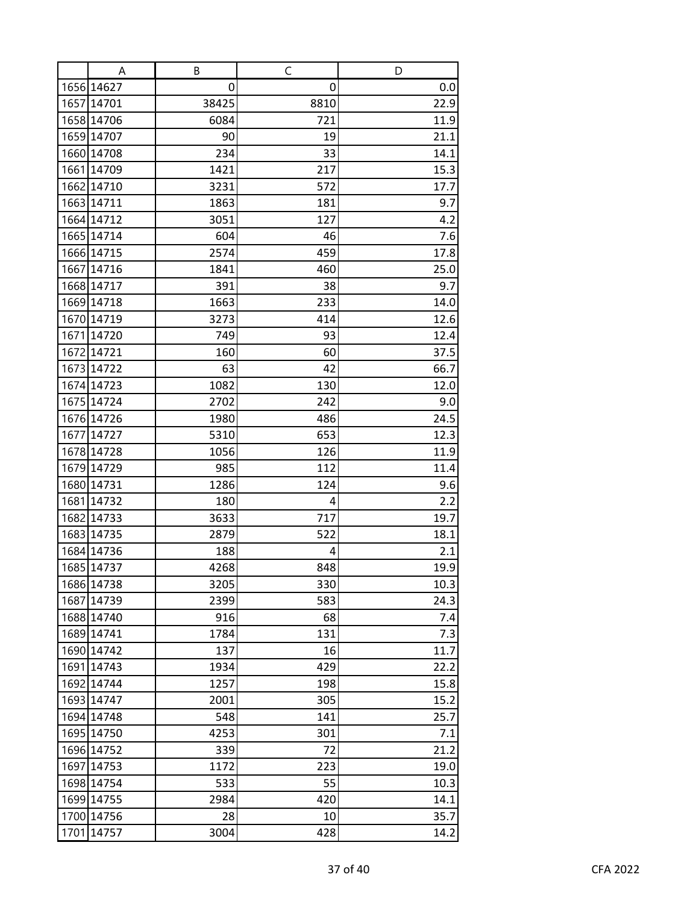| A                        | В           | C          | D            |
|--------------------------|-------------|------------|--------------|
| 1656 14627               | 0           | 0          | 0.0          |
| 1657 14701               | 38425       | 8810       | 22.9         |
| 1658 14706               | 6084        | 721        | 11.9         |
| 1659 14707               | 90          | 19         | 21.1         |
| 1660 14708               | 234         | 33         | 14.1         |
| 1661 14709               | 1421        | 217        | 15.3         |
| 1662 14710               | 3231        | 572        | 17.7         |
| 1663 14711               | 1863        | 181        | 9.7          |
| 1664 14712               | 3051        | 127        | 4.2          |
| 1665 14714               | 604         | 46         | $7.6$        |
| 1666 14715               | 2574        | 459        | 17.8         |
| 1667 14716               | 1841        | 460        | 25.0         |
| 1668 14717               | 391         | 38         | 9.7          |
| 1669 14718               | 1663        | 233        | 14.0         |
| 1670 14719               | 3273        | 414        | 12.6         |
| 1671 14720               | 749         | 93         | 12.4         |
| 1672 14721               | 160         | 60         | 37.5         |
| 1673 14722               | 63          | 42         | 66.7         |
| 1674 14723               | 1082        | 130        | 12.0         |
| 1675 14724               | 2702        | 242        | 9.0          |
| 1676 14726               | 1980        | 486        | 24.5         |
| 1677 14727               | 5310        | 653        | 12.3         |
| 1678 14728<br>1679 14729 | 1056<br>985 | 126<br>112 | 11.9<br>11.4 |
| 1680 14731               | 1286        | 124        | 9.6          |
| 1681 14732               | 180         | 4          | 2.2          |
| 1682 14733               | 3633        | 717        | 19.7         |
| 1683 14735               | 2879        | 522        | 18.1         |
| 1684 14736               | 188         | 4          | 2.1          |
| 1685 14737               | 4268        | 848        | 19.9         |
| 1686 14738               | 3205        | 330        | 10.3         |
| 1687 14739               | 2399        | 583        | 24.3         |
| 1688 14740               | 916         | 68         | 7.4          |
| 1689 14741               | 1784        | 131        | 7.3          |
| 1690 14742               | 137         | 16         | 11.7         |
| 1691 14743               | 1934        | 429        | 22.2         |
| 1692 14744               | 1257        | 198        | 15.8         |
| 1693 14747               | 2001        | 305        | 15.2         |
| 1694 14748               | 548         | 141        | 25.7         |
| 1695 14750               | 4253        | 301        | 7.1          |
| 1696 14752               | 339         | 72         | 21.2         |
| 1697 14753               | 1172        | 223        | 19.0         |
| 1698 14754               | 533         | 55         | 10.3         |
| 1699 14755               | 2984        | 420        | 14.1         |
| 1700 14756               | 28          | 10         | 35.7         |
| 1701 14757               | 3004        | 428        | 14.2         |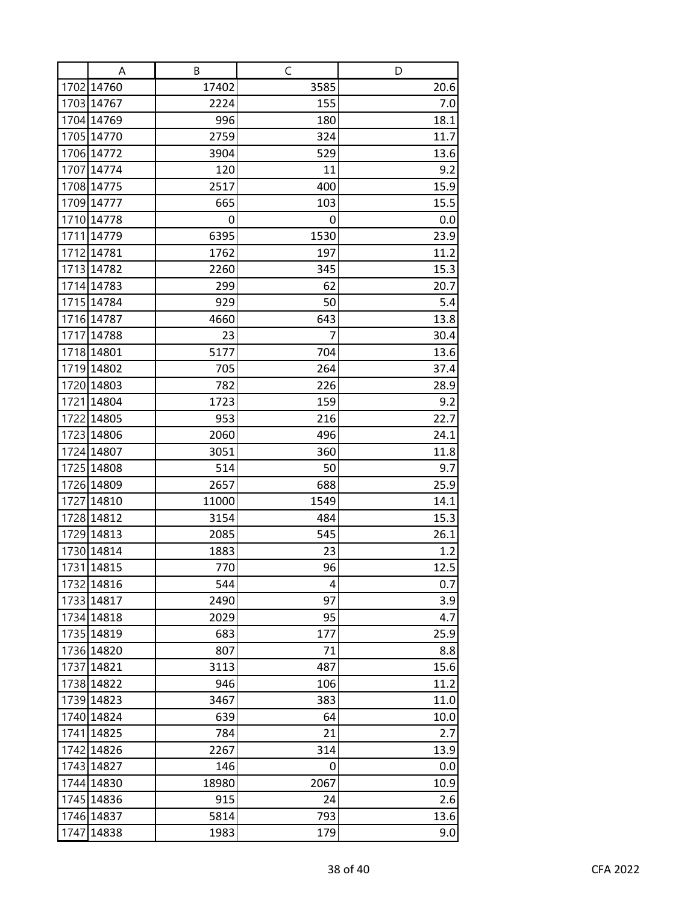| A          | В     | C    | D    |
|------------|-------|------|------|
| 1702 14760 | 17402 | 3585 | 20.6 |
| 1703 14767 | 2224  | 155  | 7.0  |
| 1704 14769 | 996   | 180  | 18.1 |
| 1705 14770 | 2759  | 324  | 11.7 |
| 1706 14772 | 3904  | 529  | 13.6 |
| 1707 14774 | 120   | 11   | 9.2  |
| 1708 14775 | 2517  | 400  | 15.9 |
| 1709 14777 | 665   | 103  | 15.5 |
| 1710 14778 | 0     | 0    | 0.0  |
| 1711 14779 | 6395  | 1530 | 23.9 |
| 1712 14781 | 1762  | 197  | 11.2 |
| 1713 14782 | 2260  | 345  | 15.3 |
| 1714 14783 | 299   | 62   | 20.7 |
| 1715 14784 | 929   | 50   | 5.4  |
| 1716 14787 | 4660  | 643  | 13.8 |
| 1717 14788 | 23    | 7    | 30.4 |
| 1718 14801 | 5177  | 704  | 13.6 |
| 1719 14802 | 705   | 264  | 37.4 |
| 1720 14803 | 782   | 226  | 28.9 |
| 1721 14804 | 1723  | 159  | 9.2  |
| 1722 14805 | 953   | 216  | 22.7 |
| 1723 14806 | 2060  | 496  | 24.1 |
| 1724 14807 | 3051  | 360  | 11.8 |
| 1725 14808 | 514   | 50   | 9.7  |
| 1726 14809 | 2657  | 688  | 25.9 |
| 1727 14810 | 11000 | 1549 | 14.1 |
| 1728 14812 | 3154  | 484  | 15.3 |
| 1729 14813 | 2085  | 545  | 26.1 |
| 1730 14814 | 1883  | 23   | 1.2  |
| 1731 14815 | 770   | 96   | 12.5 |
| 1732 14816 | 544   | 4    | 0.7  |
| 1733 14817 | 2490  | 97   | 3.9  |
| 1734 14818 | 2029  | 95   | 4.7  |
| 1735 14819 | 683   | 177  | 25.9 |
| 1736 14820 | 807   | 71   | 8.8  |
| 1737 14821 | 3113  | 487  | 15.6 |
| 1738 14822 | 946   | 106  | 11.2 |
| 1739 14823 | 3467  | 383  | 11.0 |
| 1740 14824 | 639   | 64   | 10.0 |
| 1741 14825 | 784   | 21   | 2.7  |
| 1742 14826 | 2267  | 314  | 13.9 |
| 1743 14827 | 146   | 0    | 0.0  |
| 1744 14830 | 18980 | 2067 | 10.9 |
| 1745 14836 | 915   | 24   | 2.6  |
| 1746 14837 | 5814  | 793  | 13.6 |
| 1747 14838 | 1983  | 179  | 9.0  |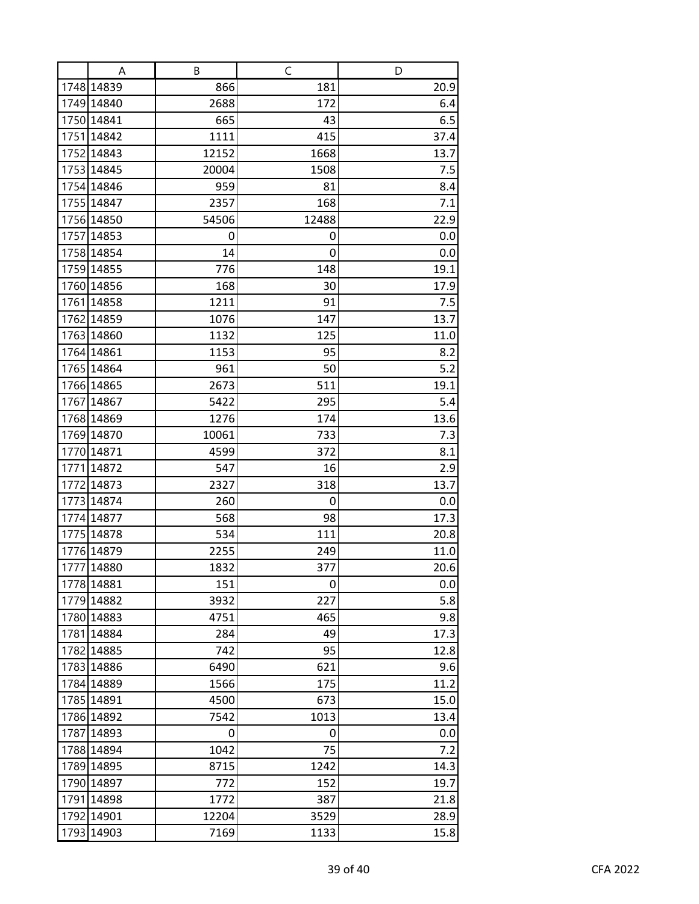|      | A                        | В         | C       | D            |
|------|--------------------------|-----------|---------|--------------|
|      | 1748 14839               | 866       | 181     | 20.9         |
|      | 1749 14840               | 2688      | 172     | 6.4          |
|      | 1750 14841               | 665       | 43      | 6.5          |
|      | 1751 14842               | 1111      | 415     | 37.4         |
|      | 1752 14843               | 12152     | 1668    | 13.7         |
|      | 1753 14845               | 20004     | 1508    | 7.5          |
|      | 1754 14846               | 959       | 81      | 8.4          |
|      | 1755 14847               | 2357      | 168     | 7.1          |
|      | 1756 14850               | 54506     | 12488   | 22.9         |
|      | 1757 14853               | 0         | 0       | 0.0          |
|      | 1758 14854               | 14        | 0       | 0.0          |
|      | 1759 14855               | 776       | 148     | 19.1         |
|      | 1760 14856               | 168       | 30      | 17.9         |
|      | 1761 14858               | 1211      | 91      | 7.5          |
|      | 1762 14859               | 1076      | 147     | 13.7         |
|      | 1763 14860               | 1132      | 125     | 11.0         |
|      | 1764 14861               | 1153      | 95      | 8.2          |
|      | 1765 14864               | 961       | 50      | 5.2          |
|      | 1766 14865               | 2673      | 511     | 19.1         |
|      | 1767 14867               | 5422      | 295     | 5.4          |
|      | 1768 14869               | 1276      | 174     | 13.6         |
|      | 1769 14870               | 10061     | 733     | 7.3          |
|      | 1770 14871               | 4599      | 372     | 8.1          |
|      | 1771 14872               | 547       | 16      | 2.9          |
| 1772 | 14873                    | 2327      | 318     | 13.7         |
|      | 1773 14874               | 260       | 0       | 0.0          |
|      | 1774 14877               | 568       | 98      | 17.3         |
|      | 1775 14878               | 534       | 111     | 20.8         |
|      | 1776 14879               | 2255      | 249     | 11.0         |
|      | 1777 14880               | 1832      | 377     | 20.6         |
|      | 1778 14881               | 151       | 0       | 0.0          |
|      | 1779 14882               | 3932      | 227     | 5.8          |
|      | 1780 14883               | 4751      | 465     | 9.8          |
|      | 1781 14884               | 284       | 49      | 17.3         |
|      | 1782 14885               | 742       | 95      | 12.8         |
|      | 1783 14886               | 6490      | 621     | 9.6          |
|      | 1784 14889<br>1785 14891 | 1566      | 175     | 11.2         |
|      |                          | 4500      | 673     | 15.0         |
|      | 1786 14892               | 7542      | 1013    | 13.4         |
|      | 1787 14893               | 0<br>1042 | 0<br>75 | 0.0          |
|      | 1788 14894<br>1789 14895 | 8715      | 1242    | 7.2          |
|      | 1790 14897               |           |         | 14.3<br>19.7 |
|      |                          | 772       | 152     |              |
|      | 1791 14898               | 1772      | 387     | 21.8         |
|      | 1792 14901               | 12204     | 3529    | 28.9         |
|      | 1793 14903               | 7169      | 1133    | 15.8         |